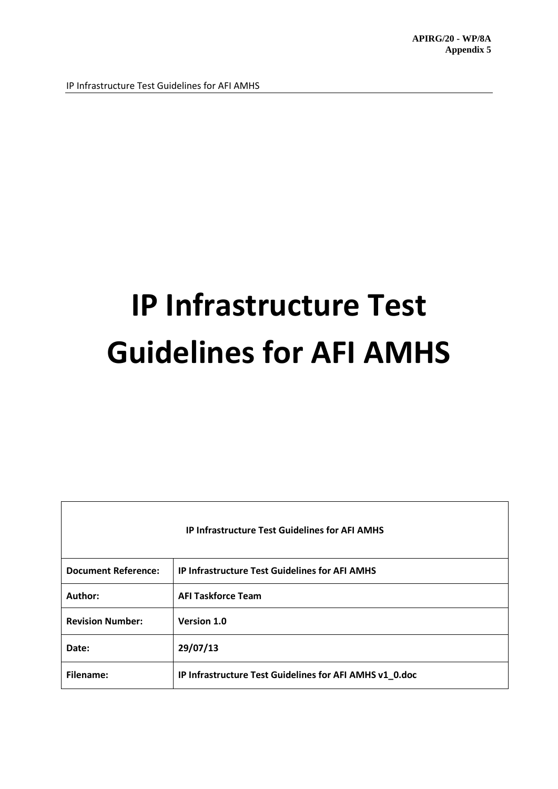| <b>IP Infrastructure Test Guidelines for AFI AMHS</b> |                                                         |  |
|-------------------------------------------------------|---------------------------------------------------------|--|
| <b>Document Reference:</b>                            | <b>IP Infrastructure Test Guidelines for AFI AMHS</b>   |  |
| Author:                                               | <b>AFI Taskforce Team</b>                               |  |
| <b>Revision Number:</b>                               | Version 1.0                                             |  |
| Date:                                                 | 29/07/13                                                |  |
| Filename:                                             | IP Infrastructure Test Guidelines for AFI AMHS v1_0.doc |  |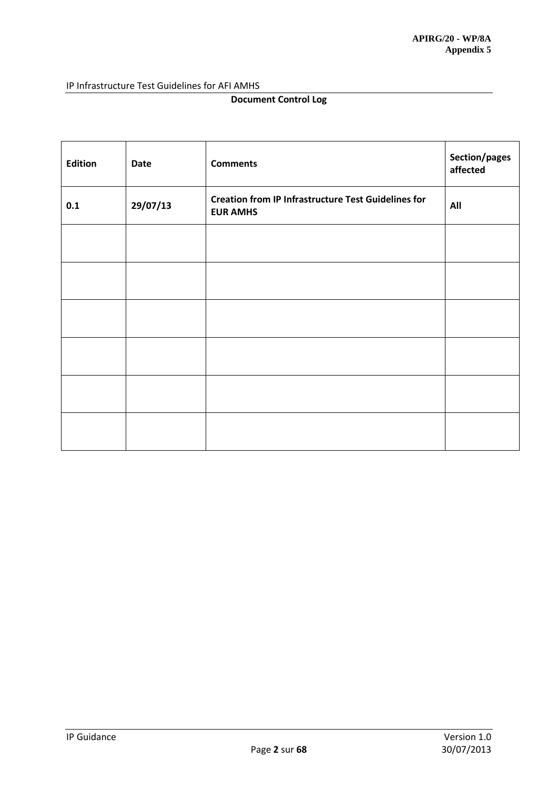# **Document Control Log**

| <b>Edition</b> | <b>Date</b> | <b>Comments</b>                                                               | Section/pages<br>affected |
|----------------|-------------|-------------------------------------------------------------------------------|---------------------------|
| 0.1            | 29/07/13    | <b>Creation from IP Infrastructure Test Guidelines for</b><br><b>EUR AMHS</b> | All                       |
|                |             |                                                                               |                           |
|                |             |                                                                               |                           |
|                |             |                                                                               |                           |
|                |             |                                                                               |                           |
|                |             |                                                                               |                           |
|                |             |                                                                               |                           |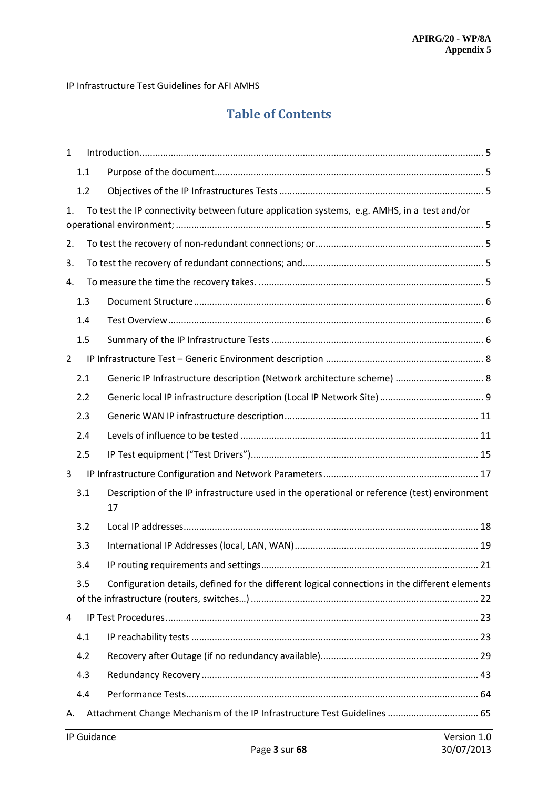# **Table of Contents**

| $\mathbf{1}$   |     |             |                                                                                                    |  |
|----------------|-----|-------------|----------------------------------------------------------------------------------------------------|--|
|                | 1.1 |             |                                                                                                    |  |
|                | 1.2 |             |                                                                                                    |  |
| 1.             |     |             | To test the IP connectivity between future application systems, e.g. AMHS, in a test and/or        |  |
| 2.             |     |             |                                                                                                    |  |
| 3.             |     |             |                                                                                                    |  |
| 4.             |     |             |                                                                                                    |  |
|                | 1.3 |             |                                                                                                    |  |
|                | 1.4 |             |                                                                                                    |  |
|                | 1.5 |             |                                                                                                    |  |
| $\overline{2}$ |     |             |                                                                                                    |  |
|                | 2.1 |             | Generic IP Infrastructure description (Network architecture scheme)  8                             |  |
|                | 2.2 |             |                                                                                                    |  |
|                | 2.3 |             |                                                                                                    |  |
|                | 2.4 |             |                                                                                                    |  |
|                | 2.5 |             |                                                                                                    |  |
| 3              |     |             |                                                                                                    |  |
|                | 3.1 |             | Description of the IP infrastructure used in the operational or reference (test) environment<br>17 |  |
|                | 3.2 |             |                                                                                                    |  |
|                | 3.3 |             |                                                                                                    |  |
|                | 3.4 |             |                                                                                                    |  |
|                | 3.5 |             | Configuration details, defined for the different logical connections in the different elements     |  |
| 4              |     |             |                                                                                                    |  |
|                | 4.1 |             |                                                                                                    |  |
|                | 4.2 |             |                                                                                                    |  |
|                | 4.3 |             |                                                                                                    |  |
|                | 4.4 |             |                                                                                                    |  |
| А.             |     |             | Attachment Change Mechanism of the IP Infrastructure Test Guidelines  65                           |  |
|                |     | IP Guidance | Version 1.0                                                                                        |  |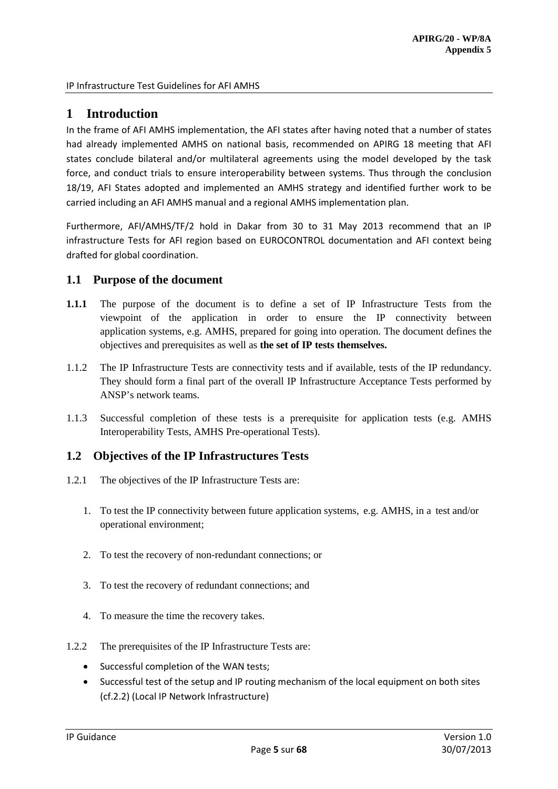# <span id="page-4-0"></span>**1 Introduction**

In the frame of AFI AMHS implementation, the AFI states after having noted that a number of states had already implemented AMHS on national basis, recommended on APIRG 18 meeting that AFI states conclude bilateral and/or multilateral agreements using the model developed by the task force, and conduct trials to ensure interoperability between systems. Thus through the conclusion 18/19, AFI States adopted and implemented an AMHS strategy and identified further work to be carried including an AFI AMHS manual and a regional AMHS implementation plan.

Furthermore, AFI/AMHS/TF/2 hold in Dakar from 30 to 31 May 2013 recommend that an IP infrastructure Tests for AFI region based on EUROCONTROL documentation and AFI context being drafted for global coordination.

# <span id="page-4-1"></span>**1.1 Purpose of the document**

- **1.1.1** The purpose of the document is to define a set of IP Infrastructure Tests from the viewpoint of the application in order to ensure the IP connectivity between application systems, e.g. AMHS, prepared for going into operation. The document defines the objectives and prerequisites as well as **the set of IP tests themselves.**
- 1.1.2 The IP Infrastructure Tests are connectivity tests and if available, tests of the IP redundancy. They should form a final part of the overall IP Infrastructure Acceptance Tests performed by ANSP's network teams.
- 1.1.3 Successful completion of these tests is a prerequisite for application tests (e.g. AMHS Interoperability Tests, AMHS Pre-operational Tests).

# <span id="page-4-2"></span>**1.2 Objectives of the IP Infrastructures Tests**

- <span id="page-4-4"></span><span id="page-4-3"></span>1.2.1 The objectives of the IP Infrastructure Tests are:
	- 1. To test the IP connectivity between future application systems, e.g. AMHS, in a test and/or operational environment;
	- 2. To test the recovery of non-redundant connections; or
	- 3. To test the recovery of redundant connections; and
	- 4. To measure the time the recovery takes.
- <span id="page-4-6"></span><span id="page-4-5"></span>1.2.2 The prerequisites of the IP Infrastructure Tests are:
	- Successful completion of the WAN tests;
	- Successful test of the setup and IP routing mechanism of the local equipment on both sites (cf.2.2) (Local IP Network Infrastructure)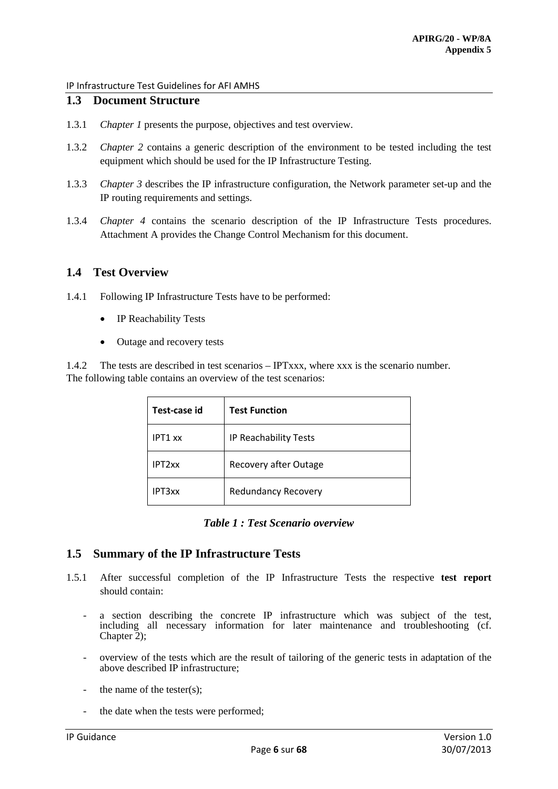# <span id="page-5-0"></span>**1.3 Document Structure**

- 1.3.1 *Chapter 1* presents the purpose, objectives and test overview.
- 1.3.2 *Chapter 2* contains a generic description of the environment to be tested including the test equipment which should be used for the IP Infrastructure Testing.
- 1.3.3 *Chapter 3* describes the IP infrastructure configuration, the Network parameter set-up and the IP routing requirements and settings.
- 1.3.4 *Chapter 4* contains the scenario description of the IP Infrastructure Tests procedures. Attachment A provides the Change Control Mechanism for this document.

# <span id="page-5-1"></span>**1.4 Test Overview**

- 1.4.1 Following IP Infrastructure Tests have to be performed:
	- IP Reachability Tests
	- Outage and recovery tests

1.4.2 The tests are described in test scenarios – IPTxxx, where xxx is the scenario number. The following table contains an overview of the test scenarios:

| Test-case id       | <b>Test Function</b>       |
|--------------------|----------------------------|
| IPT1 xx            | IP Reachability Tests      |
| IPT <sub>2xx</sub> | Recovery after Outage      |
| IPT3xx             | <b>Redundancy Recovery</b> |

#### *Table 1 : Test Scenario overview*

### <span id="page-5-2"></span>**1.5 Summary of the IP Infrastructure Tests**

- 1.5.1 After successful completion of the IP Infrastructure Tests the respective **test report** should contain:
	- a section describing the concrete IP infrastructure which was subject of the test, including all necessary information for later maintenance and troubleshooting (cf. Chapter 2);
	- overview of the tests which are the result of tailoring of the generic tests in adaptation of the above described IP infrastructure;
	- the name of the tester(s):
	- the date when the tests were performed;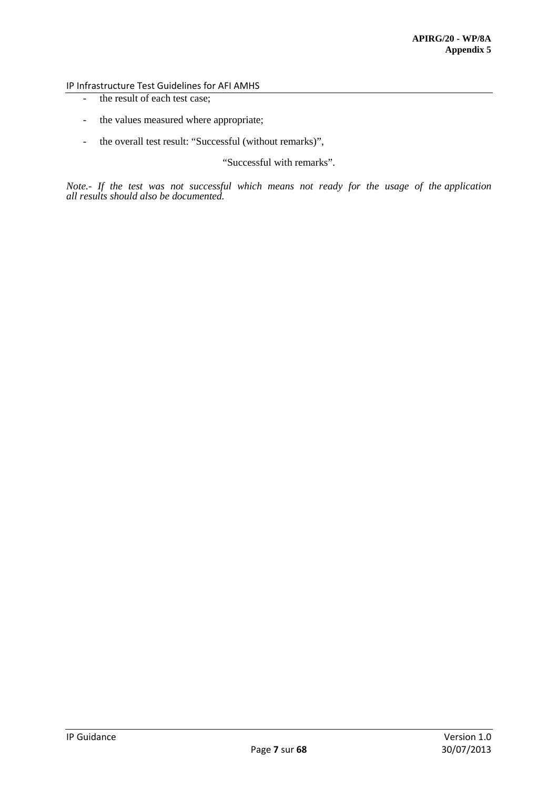- the result of each test case;
- the values measured where appropriate;
- the overall test result: "Successful (without remarks)",

"Successful with remarks".

*Note.- If the test was not successful which means not ready for the usage of the application all results should also be documented.*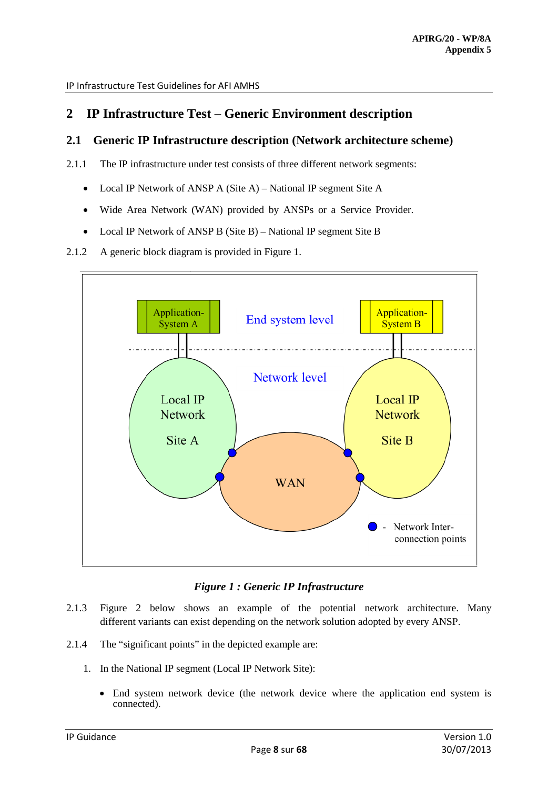# <span id="page-7-0"></span>**2 IP Infrastructure Test – Generic Environment description**

# <span id="page-7-1"></span>**2.1 Generic IP Infrastructure description (Network architecture scheme)**

- 2.1.1 The IP infrastructure under test consists of three different network segments:
	- Local IP Network of ANSP A (Site A) National IP segment Site A
	- Wide Area Network (WAN) provided by ANSPs or a Service Provider.
	- Local IP Network of ANSP B (Site B) National IP segment Site B

#### 2.1.2 A generic block diagram is provided in Figure 1.



### *Figure 1 : Generic IP Infrastructure*

- 2.1.3 Figure 2 below shows an example of the potential network architecture. Many different variants can exist depending on the network solution adopted by every ANSP.
- 2.1.4 The "significant points" in the depicted example are:
	- 1. In the National IP segment (Local IP Network Site):
		- End system network device (the network device where the application end system is connected).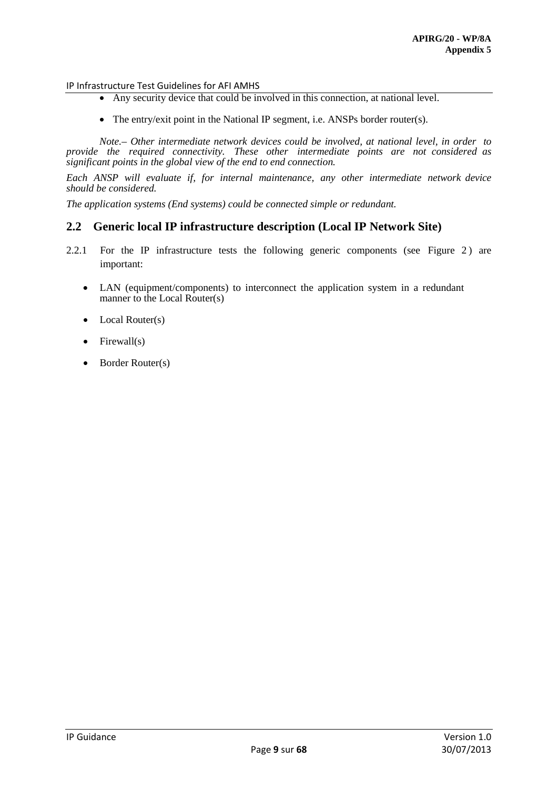- Any security device that could be involved in this connection, at national level.
- The entry/exit point in the National IP segment, i.e. ANSPs border router(s).

*Note.– Other intermediate network devices could be involved, at national level, in order to provide the required connectivity. These other intermediate points are not considered as significant points in the global view of the end to end connection.* 

*Each ANSP will evaluate if, for internal maintenance, any other intermediate network device should be considered.* 

*The application systems (End systems) could be connected simple or redundant.* 

### <span id="page-8-0"></span>**2.2 Generic local IP infrastructure description (Local IP Network Site)**

- 2.2.1 For the IP infrastructure tests the following generic components (see Figure 2) are important:
	- LAN (equipment/components) to interconnect the application system in a redundant manner to the Local Router(s)
	- Local Router(s)
	- $\bullet$  Firewall(s)
	- Border Router(s)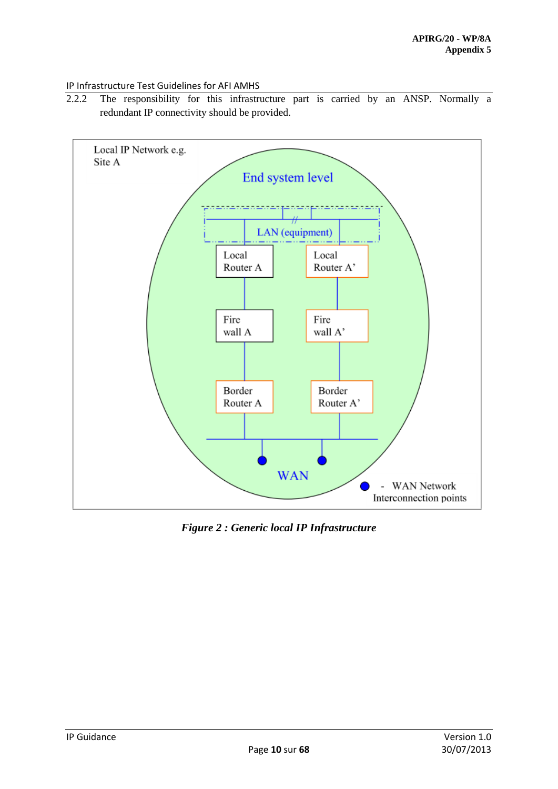2.2.2 The responsibility for this infrastructure part is carried by an ANSP. Normally a redundant IP connectivity should be provided.



*Figure 2 : Generic local IP Infrastructure*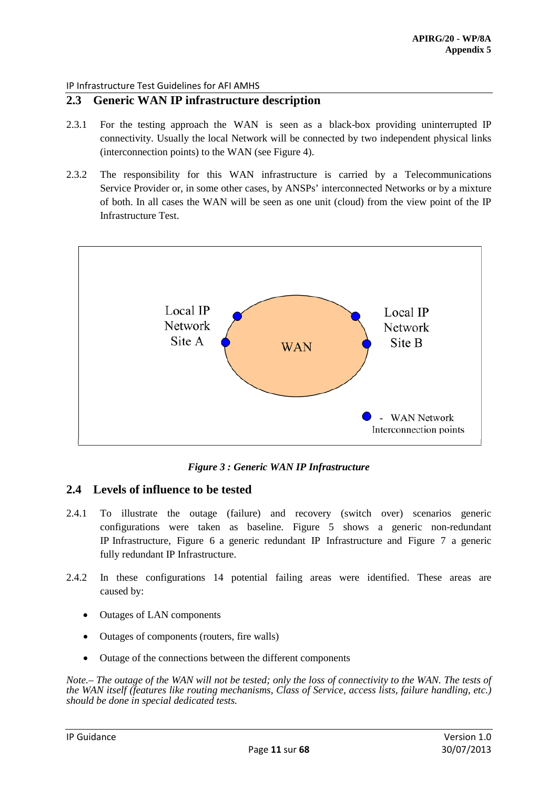# <span id="page-10-0"></span>**2.3 Generic WAN IP infrastructure description**

- 2.3.1 For the testing approach the WAN is seen as a black-box providing uninterrupted IP connectivity. Usually the local Network will be connected by two independent physical links (interconnection points) to the WAN (see Figure 4).
- 2.3.2 The responsibility for this WAN infrastructure is carried by a Telecommunications Service Provider or, in some other cases, by ANSPs' interconnected Networks or by a mixture of both. In all cases the WAN will be seen as one unit (cloud) from the view point of the IP Infrastructure Test.



*Figure 3 : Generic WAN IP Infrastructure*

# <span id="page-10-1"></span>**2.4 Levels of influence to be tested**

- 2.4.1 To illustrate the outage (failure) and recovery (switch over) scenarios generic configurations were taken as baseline. Figure 5 shows a generic non-redundant IP Infrastructure, Figure 6 a generic redundant IP Infrastructure and Figure 7 a generic fully redundant IP Infrastructure.
- 2.4.2 In these configurations 14 potential failing areas were identified. These areas are caused by:
	- Outages of LAN components
	- Outages of components (routers, fire walls)
	- Outage of the connections between the different components

*Note.– The outage of the WAN will not be tested; only the loss of connectivity to the WAN. The tests of the WAN itself (features like routing mechanisms, Class of Service, access lists, failure handling, etc.) should be done in special dedicated tests.*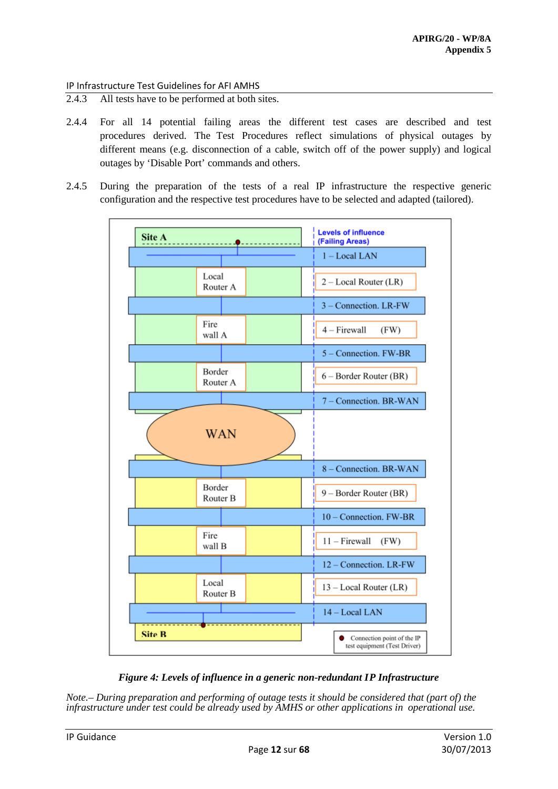- 2.4.3 All tests have to be performed at both sites.
- 2.4.4 For all 14 potential failing areas the different test cases are described and test procedures derived. The Test Procedures reflect simulations of physical outages by different means (e.g. disconnection of a cable, switch off of the power supply) and logical outages by 'Disable Port' commands and others.
- 2.4.5 During the preparation of the tests of a real IP infrastructure the respective generic configuration and the respective test procedures have to be selected and adapted (tailored).





*Note.– During preparation and performing of outage tests it should be considered that (part of) the infrastructure under test could be already used by AMHS or other applications in operational use.*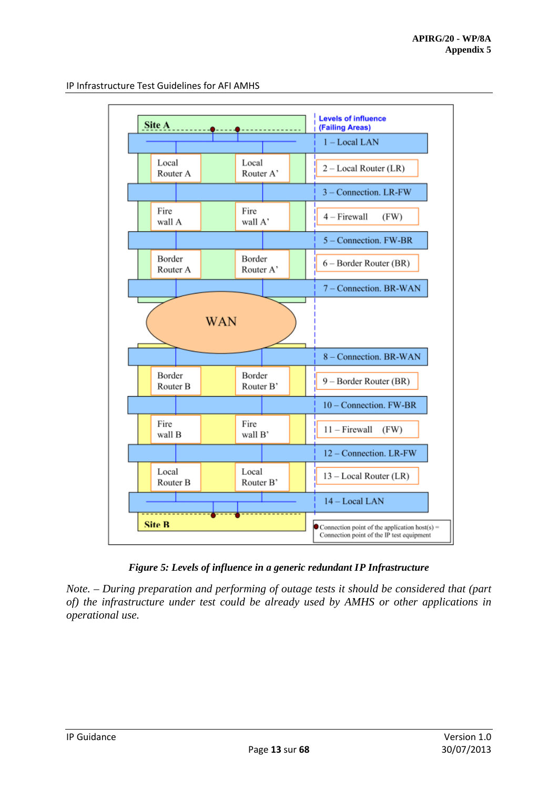

*Figure 5: Levels of influence in a generic redundant IP Infrastructure*

*Note. – During preparation and performing of outage tests it should be considered that (part of) the infrastructure under test could be already used by AMHS or other applications in operational use.*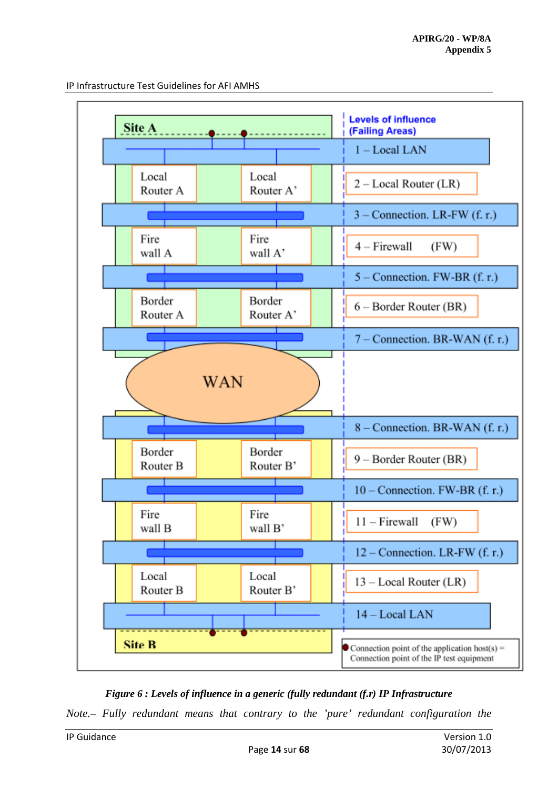

*Figure 6 : Levels of influence in a generic (fully redundant (f.r) IP Infrastructure*

*Note.– Fully redundant means that contrary to the 'pure' redundant configuration the*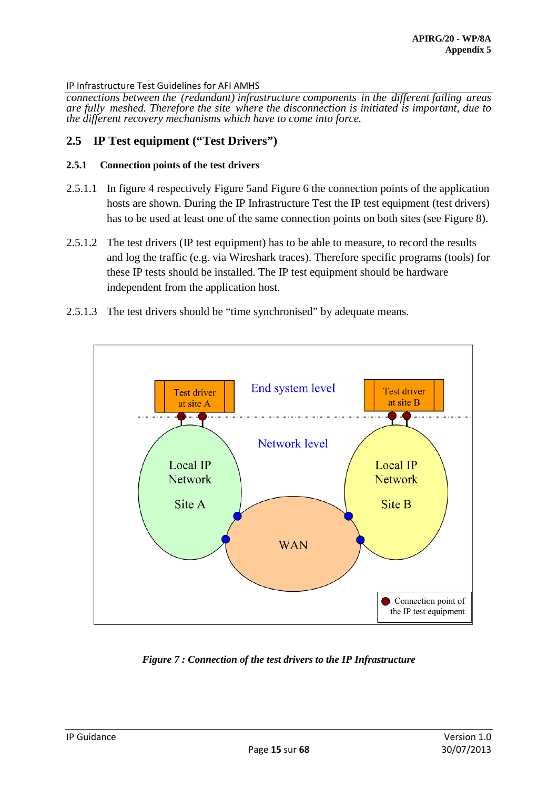*connections between the (redundant) infrastructure components in the different failing areas are fully meshed. Therefore the site where the disconnection is initiated is important, due to the different recovery mechanisms which have to come into force.*

# <span id="page-14-0"></span>**2.5 IP Test equipment ("Test Drivers")**

### **2.5.1 Connection points of the test drivers**

- 2.5.1.1 In figure 4 respectively Figure 5and Figure 6 the connection points of the application hosts are shown. During the IP Infrastructure Test the IP test equipment (test drivers) has to be used at least one of the same connection points on both sites (see Figure 8).
- 2.5.1.2 The test drivers (IP test equipment) has to be able to measure, to record the results and log the traffic (e.g. via Wireshark traces). Therefore specific programs (tools) for these IP tests should be installed. The IP test equipment should be hardware independent from the application host.
- 2.5.1.3 The test drivers should be "time synchronised" by adequate means.



*Figure 7 : Connection of the test drivers to the IP Infrastructure*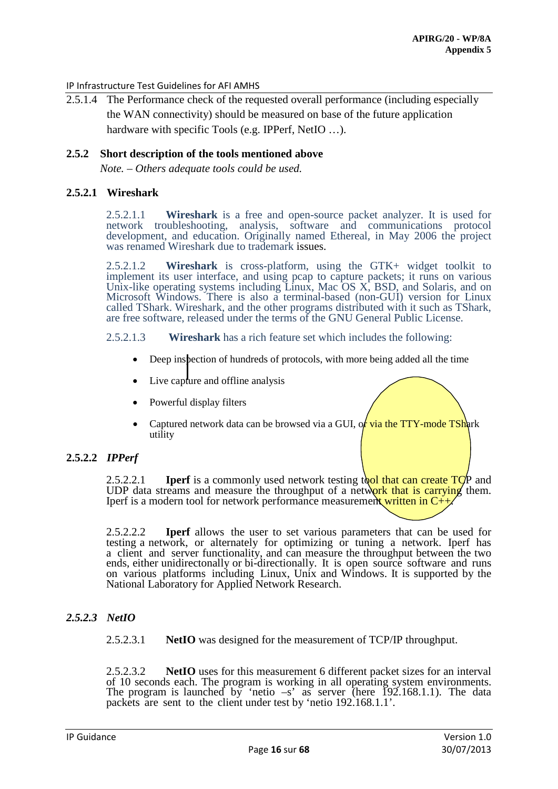2.5.1.4 The Performance check of the requested overall performance (including especially the WAN connectivity) should be measured on base of the future application hardware with specific Tools (e.g. IPPerf, NetIO ...).

#### **2.5.2 Short description of the tools mentioned above**

*Note. – Others adequate tools could be used.*

### **2.5.2.1 Wireshark**

2.5.2.1.1 **Wireshark** is a free and open-source packet analyzer. It is used for network troubleshooting, analysis, software and communications protocol development, and education. Originally named Ethereal, in May 2006 the project was renamed Wireshark due to trademark issues.

2.5.2.1.2 **Wireshark** is cross-platform, using the GTK+ widget toolkit to implement its user interface, and using pcap to capture packets; it runs on various Unix-like operating systems including Linux, Mac OS X, BSD, and Solaris, and on Microsoft Windows. There is also a terminal-based (non-GUI) version for Linux called TShark. Wireshark, and the other programs distributed with it such as TShark, are free software, released under the terms of the GNU General Public License.

#### 2.5.2.1.3 **Wireshark** has a rich feature set which includes the following:

- Deep inspection of hundreds of protocols, with more being added all the time
- Live capture and offline analysis
- Powerful display filters
- Captured network data can be browsed via a GUI, of via the  $TTY$ -mode TShark utility
- **2.5.2.2** *IPPerf*

2.5.2.2.1 **IDerf** is a commonly used network testing to that can create  $TCP$  and UDP data streams and measure the throughput of a network that is carrying them. Iperf is a modern tool for network performance measurement written in  $C_{++}$ .

2.5.2.2.2 **Iperf** allows the user to set various parameters that can be used for testing a network, or alternately for optimizing or tuning a network. Iperf has a client and server functionality, and can measure the throughput between the two ends, either unidirectonally or bi-directionally. It is open source software and runs on various platforms including Linux, Unix and Windows. It is supported by the National Laboratory for Applied Network Research.

# *2.5.2.3 NetIO*

2.5.2.3.1 **NetIO** was designed for the measurement of TCP/IP throughput.

2.5.2.3.2 **NetIO** uses for this measurement 6 different packet sizes for an interval of 10 seconds each. The program is working in all operating system environments. The program is launched by 'netio  $-s$ ' as server (here 192.168.1.1). The data packets are sent to the client under test by 'netio 192.168.1.1'.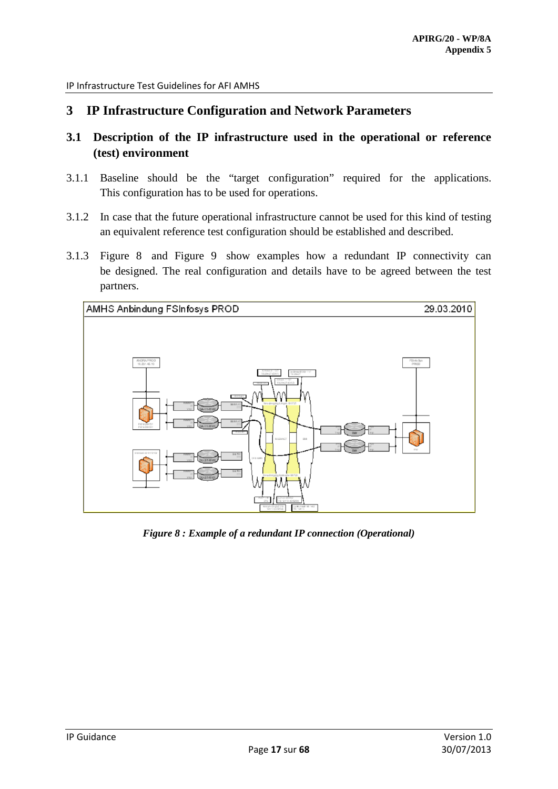# <span id="page-16-0"></span>**3 IP Infrastructure Configuration and Network Parameters**

- <span id="page-16-1"></span>**3.1 Description of the IP infrastructure used in the operational or reference (test) environment**
- 3.1.1 Baseline should be the "target configuration" required for the applications. This configuration has to be used for operations.
- 3.1.2 In case that the future operational infrastructure cannot be used for this kind of testing an equivalent reference test configuration should be established and described.
- 3.1.3 Figure 8 and Figure 9 show examples how a redundant IP connectivity can be designed. The real configuration and details have to be agreed between the test partners.



*Figure 8 : Example of a redundant IP connection (Operational)*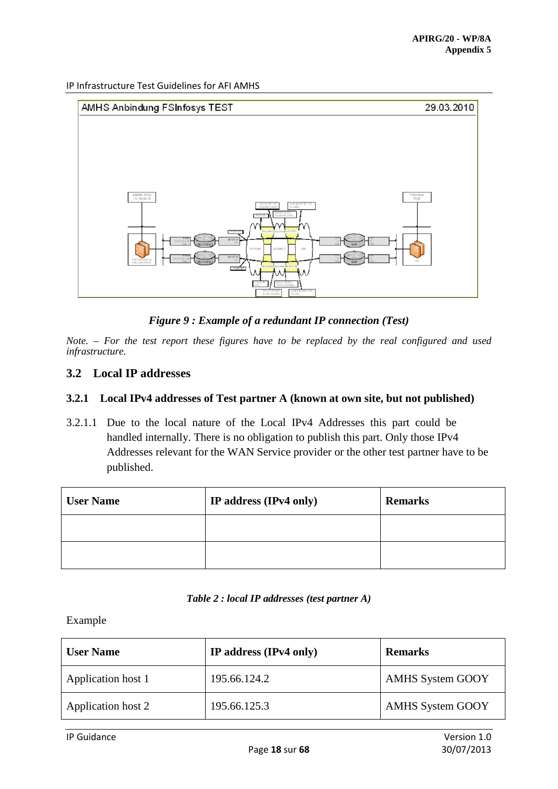

*Figure 9 : Example of a redundant IP connection (Test)*

*Note. – For the test report these figures have to be replaced by the real configured and used infrastructure.*

# <span id="page-17-0"></span>**3.2 Local IP addresses**

# **3.2.1 Local IPv4 addresses of Test partner A (known at own site, but not published)**

3.2.1.1 Due to the local nature of the Local IPv4 Addresses this part could be handled internally. There is no obligation to publish this part. Only those IPv4 Addresses relevant for the WAN Service provider or the other test partner have to be published.

| <b>User Name</b> | IP address (IPv4 only) | <b>Remarks</b> |
|------------------|------------------------|----------------|
|                  |                        |                |
|                  |                        |                |

#### *Table 2 : local IP addresses (test partner A)*

Example

| <b>User Name</b>   | IP address (IPv4 only) | <b>Remarks</b>          |
|--------------------|------------------------|-------------------------|
| Application host 1 | 195.66.124.2           | <b>AMHS System GOOY</b> |
| Application host 2 | 195.66.125.3           | <b>AMHS System GOOY</b> |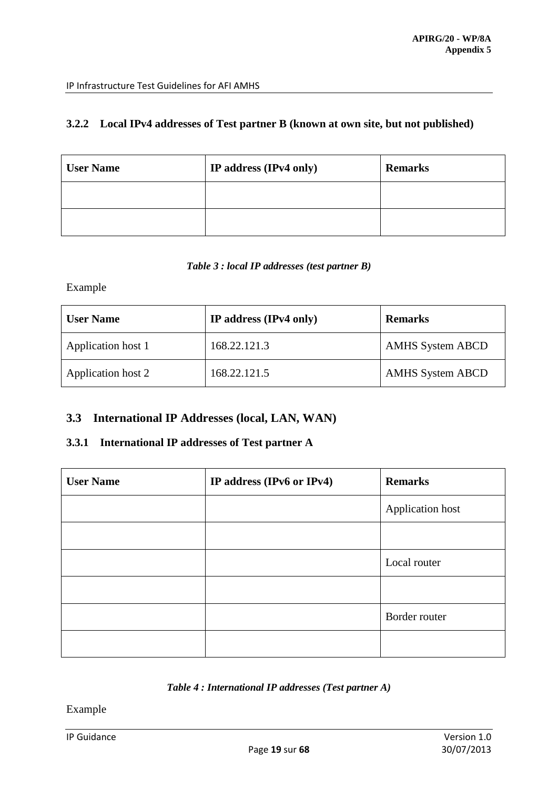# **3.2.2 Local IPv4 addresses of Test partner B (known at own site, but not published)**

| <b>User Name</b> | IP address (IPv4 only) | <b>Remarks</b> |
|------------------|------------------------|----------------|
|                  |                        |                |
|                  |                        |                |

### *Table 3 : local IP addresses (test partner B)*

Example

| <b>User Name</b>   | IP address (IPv4 only) | <b>Remarks</b>          |
|--------------------|------------------------|-------------------------|
| Application host 1 | 168.22.121.3           | <b>AMHS System ABCD</b> |
| Application host 2 | 168.22.121.5           | <b>AMHS System ABCD</b> |

# <span id="page-18-0"></span>**3.3 International IP Addresses (local, LAN, WAN)**

# **3.3.1 International IP addresses of Test partner A**

| <b>User Name</b> | IP address (IPv6 or IPv4) | <b>Remarks</b>   |
|------------------|---------------------------|------------------|
|                  |                           | Application host |
|                  |                           |                  |
|                  |                           | Local router     |
|                  |                           |                  |
|                  |                           | Border router    |
|                  |                           |                  |

### *Table 4 : International IP addresses (Test partner A)*

Example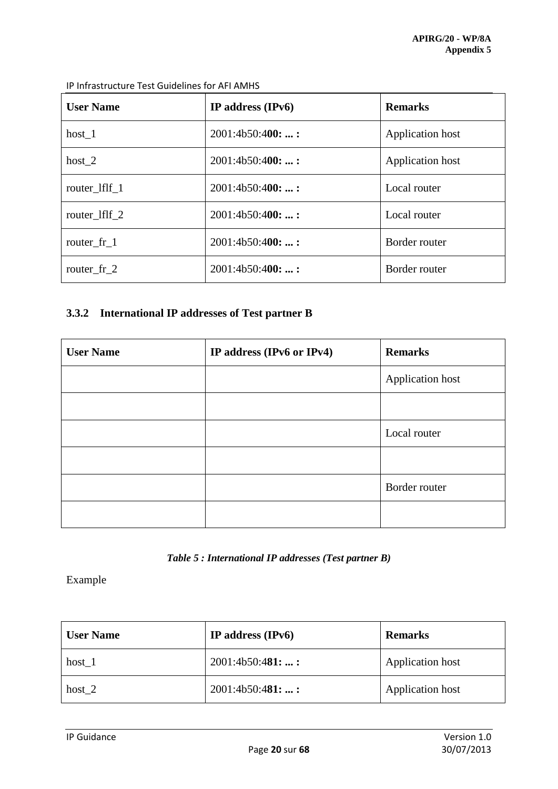| <b>User Name</b> | IP address $(IPv6)$ | <b>Remarks</b>   |
|------------------|---------------------|------------------|
| host 1           | 2001:4b50:400:      | Application host |
| host $2$         | 2001:4b50:400:      | Application host |
| router_lflf_1    | 2001:4b50:400:      | Local router     |
| router_lflf_2    | 2001:4b50:400:      | Local router     |
| router fr 1      | 2001:4b50:400:      | Border router    |
| router fr 2      | 2001:4b50:400:      | Border router    |

# **3.3.2 International IP addresses of Test partner B**

| <b>User Name</b> | IP address (IPv6 or IPv4) | <b>Remarks</b>   |
|------------------|---------------------------|------------------|
|                  |                           | Application host |
|                  |                           |                  |
|                  |                           | Local router     |
|                  |                           |                  |
|                  |                           | Border router    |
|                  |                           |                  |

*Table 5 : International IP addresses (Test partner B)*

Example

| <b>User Name</b> | IP address $(IPv6)$ | <b>Remarks</b>          |
|------------------|---------------------|-------------------------|
| host 1           | 2001:4b50:481:      | <b>Application host</b> |
| host $2$         | 2001:4b50:481: :    | Application host        |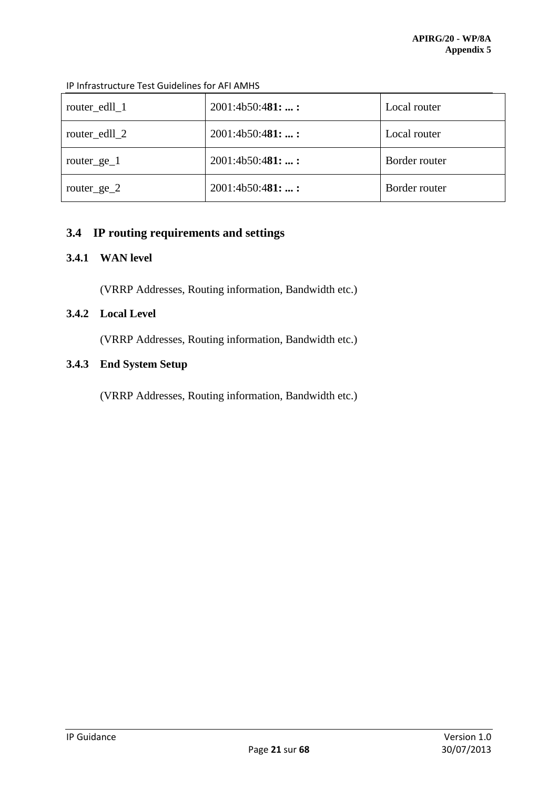| router_edll_1  | 2001:4b50:481: | Local router  |
|----------------|----------------|---------------|
| router_edll_2  | 2001:4b50:481: | Local router  |
| router_ge_ $1$ | 2001:4b50:481: | Border router |
| router_ge_2    | 2001:4b50:481: | Border router |

IP Infrastructure Test Guidelines for AFI AMHS

# <span id="page-20-0"></span>**3.4 IP routing requirements and settings**

# **3.4.1 WAN level**

(VRRP Addresses, Routing information, Bandwidth etc.)

# **3.4.2 Local Level**

(VRRP Addresses, Routing information, Bandwidth etc.)

# **3.4.3 End System Setup**

(VRRP Addresses, Routing information, Bandwidth etc.)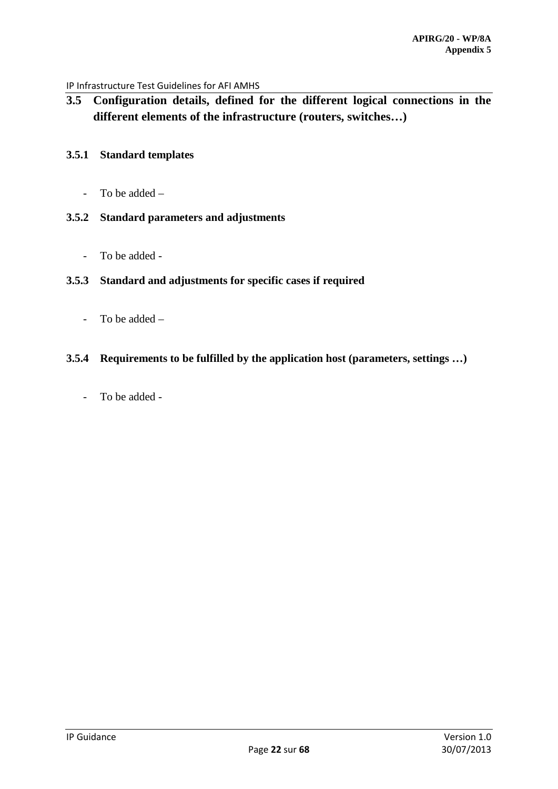<span id="page-21-0"></span>**3.5 Configuration details, defined for the different logical connections in the different elements of the infrastructure (routers, switches…)**

# **3.5.1 Standard templates**

- To be added –

# **3.5.2 Standard parameters and adjustments**

- To be added -

# **3.5.3 Standard and adjustments for specific cases if required**

- To be added –

# **3.5.4 Requirements to be fulfilled by the application host (parameters, settings …)**

- To be added -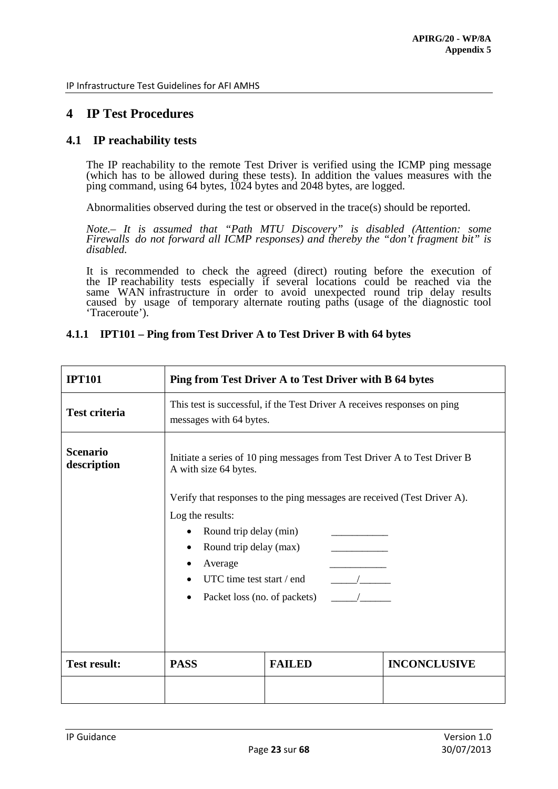# <span id="page-22-0"></span>**4 IP Test Procedures**

# <span id="page-22-1"></span>**4.1 IP reachability tests**

The IP reachability to the remote Test Driver is verified using the ICMP ping message (which has to be allowed during these tests). In addition the values measures with the ping command, using 64 bytes, 1024 bytes and 2048 bytes, are logged.

Abnormalities observed during the test or observed in the trace(s) should be reported.

*Note.– It is assumed that "Path MTU Discovery" is disabled (Attention: some Firewalls do not forward all ICMP responses) and thereby the "don't fragment bit" is disabled.* 

It is recommended to check the agreed (direct) routing before the execution of the IP reachability tests especially if several locations could be reached via the same WAN infrastructure in order to avoid unexpected round trip delay results caused by usage of temporary alternate routing paths (usage of the diagnostic tool 'Traceroute').

| <b>IPT101</b>                  | Ping from Test Driver A to Test Driver with B 64 bytes                                                                                                                                                                                                                                                                                                                                                                                                                 |               |                     |
|--------------------------------|------------------------------------------------------------------------------------------------------------------------------------------------------------------------------------------------------------------------------------------------------------------------------------------------------------------------------------------------------------------------------------------------------------------------------------------------------------------------|---------------|---------------------|
| <b>Test criteria</b>           | This test is successful, if the Test Driver A receives responses on ping<br>messages with 64 bytes.                                                                                                                                                                                                                                                                                                                                                                    |               |                     |
| <b>Scenario</b><br>description | Initiate a series of 10 ping messages from Test Driver A to Test Driver B<br>A with size 64 bytes.<br>Verify that responses to the ping messages are received (Test Driver A).<br>Log the results:<br>Round trip delay (min)<br>$\bullet$<br>Round trip delay (max)<br>$\bullet$<br>Average<br>UTC time test start / end<br>$\frac{1}{\sqrt{1-\frac{1}{2}}}\frac{1}{\sqrt{1-\frac{1}{2}}\left(1-\frac{1}{2}\right)}$<br>$\overline{1}$<br>Packet loss (no. of packets) |               |                     |
| <b>Test result:</b>            | <b>PASS</b>                                                                                                                                                                                                                                                                                                                                                                                                                                                            | <b>FAILED</b> | <b>INCONCLUSIVE</b> |
|                                |                                                                                                                                                                                                                                                                                                                                                                                                                                                                        |               |                     |

### **4.1.1 IPT101 – Ping from Test Driver A to Test Driver B with 64 bytes**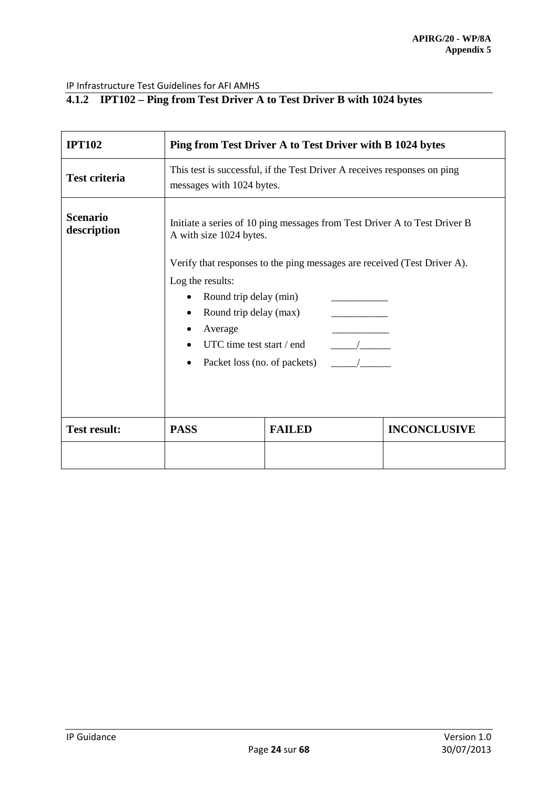# **4.1.2 IPT102 – Ping from Test Driver A to Test Driver B with 1024 bytes**

| <b>IPT102</b>                  | Ping from Test Driver A to Test Driver with B 1024 bytes                                                                                                                                                                       |               |                     |
|--------------------------------|--------------------------------------------------------------------------------------------------------------------------------------------------------------------------------------------------------------------------------|---------------|---------------------|
| <b>Test criteria</b>           | This test is successful, if the Test Driver A receives responses on ping<br>messages with 1024 bytes.                                                                                                                          |               |                     |
| <b>Scenario</b><br>description | Initiate a series of 10 ping messages from Test Driver A to Test Driver B<br>A with size 1024 bytes.<br>Verify that responses to the ping messages are received (Test Driver A).<br>Log the results:<br>Round trip delay (min) |               |                     |
|                                | Round trip delay (max)<br>Average<br>UTC time test start / end<br>$\frac{1}{\sqrt{1-\frac{1}{2}}}\frac{1}{\sqrt{1-\frac{1}{2}}\left(1-\frac{1}{2}\right)}$<br>$\overline{1}$<br>Packet loss (no. of packets)                   |               |                     |
| <b>Test result:</b>            | <b>PASS</b>                                                                                                                                                                                                                    | <b>FAILED</b> | <b>INCONCLUSIVE</b> |
|                                |                                                                                                                                                                                                                                |               |                     |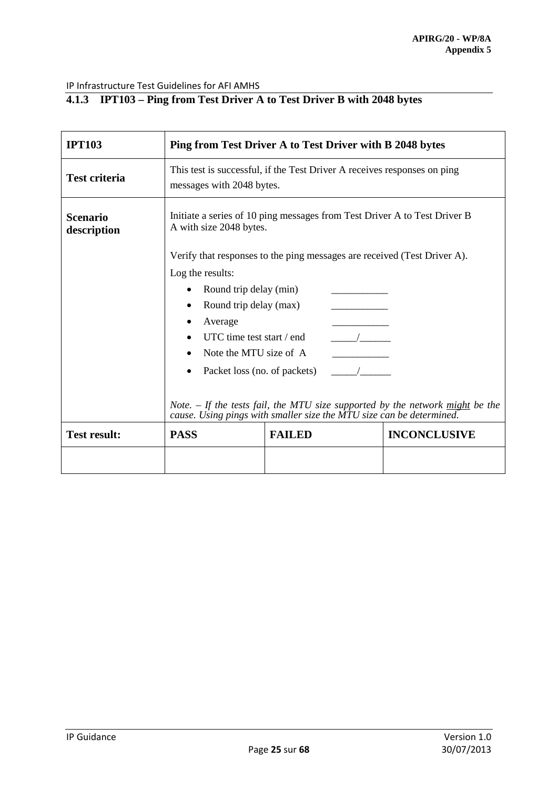# **4.1.3 IPT103 – Ping from Test Driver A to Test Driver B with 2048 bytes**

| <b>IPT103</b>                  | Ping from Test Driver A to Test Driver with B 2048 bytes                                                                                              |               |                     |
|--------------------------------|-------------------------------------------------------------------------------------------------------------------------------------------------------|---------------|---------------------|
| <b>Test criteria</b>           | This test is successful, if the Test Driver A receives responses on ping<br>messages with 2048 bytes.                                                 |               |                     |
| <b>Scenario</b><br>description | Initiate a series of 10 ping messages from Test Driver A to Test Driver B<br>A with size 2048 bytes.                                                  |               |                     |
|                                | Verify that responses to the ping messages are received (Test Driver A).                                                                              |               |                     |
|                                | Log the results:                                                                                                                                      |               |                     |
|                                | Round trip delay (min)<br>٠                                                                                                                           |               |                     |
|                                | Round trip delay (max)                                                                                                                                |               |                     |
|                                | Average                                                                                                                                               |               |                     |
|                                | UTC time test start / end<br>$\frac{1}{2}$                                                                                                            |               |                     |
|                                | Note the MTU size of A                                                                                                                                |               |                     |
|                                | Packet loss (no. of packets)                                                                                                                          |               |                     |
|                                | Note. – If the tests fail, the MTU size supported by the network might be the<br>cause. Using pings with smaller size the MTU size can be determined. |               |                     |
| <b>Test result:</b>            | <b>PASS</b>                                                                                                                                           | <b>FAILED</b> | <b>INCONCLUSIVE</b> |
|                                |                                                                                                                                                       |               |                     |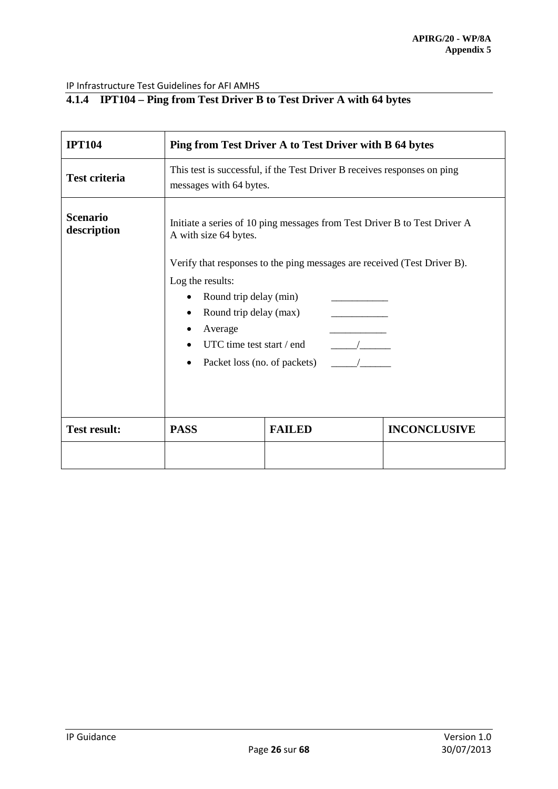# **4.1.4 IPT104 – Ping from Test Driver B to Test Driver A with 64 bytes**

| <b>IPT104</b>                  | Ping from Test Driver A to Test Driver with B 64 bytes                                                                                                                                                                                                                     |               |                     |
|--------------------------------|----------------------------------------------------------------------------------------------------------------------------------------------------------------------------------------------------------------------------------------------------------------------------|---------------|---------------------|
| <b>Test criteria</b>           | This test is successful, if the Test Driver B receives responses on ping<br>messages with 64 bytes.                                                                                                                                                                        |               |                     |
| <b>Scenario</b><br>description | Initiate a series of 10 ping messages from Test Driver B to Test Driver A<br>A with size 64 bytes.                                                                                                                                                                         |               |                     |
|                                | Verify that responses to the ping messages are received (Test Driver B).<br>Log the results:<br>Round trip delay (min)<br>$\bullet$<br>Round trip delay (max)<br>$\bullet$<br>Average<br>UTC time test start / end<br>$\frac{\sqrt{2}}{2}$<br>Packet loss (no. of packets) |               |                     |
| <b>Test result:</b>            | <b>PASS</b>                                                                                                                                                                                                                                                                | <b>FAILED</b> | <b>INCONCLUSIVE</b> |
|                                |                                                                                                                                                                                                                                                                            |               |                     |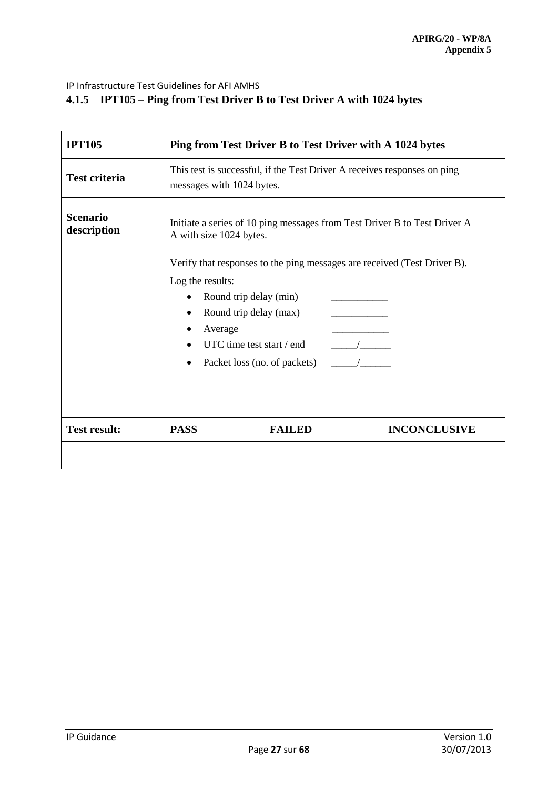# **4.1.5 IPT105 – Ping from Test Driver B to Test Driver A with 1024 bytes**

| <b>IPT105</b>                  | Ping from Test Driver B to Test Driver with A 1024 bytes                                                                                                                                                             |               |                     |
|--------------------------------|----------------------------------------------------------------------------------------------------------------------------------------------------------------------------------------------------------------------|---------------|---------------------|
| <b>Test criteria</b>           | This test is successful, if the Test Driver A receives responses on ping<br>messages with 1024 bytes.                                                                                                                |               |                     |
| <b>Scenario</b><br>description | Initiate a series of 10 ping messages from Test Driver B to Test Driver A<br>A with size 1024 bytes.<br>Verify that responses to the ping messages are received (Test Driver B).<br>Log the results:                 |               |                     |
|                                | Round trip delay (min)<br>Round trip delay (max)<br>Average<br>UTC time test start / end<br>$\frac{1}{\sqrt{1-\frac{1}{2}}}\frac{1}{\sqrt{1-\frac{1}{2}}\left(1-\frac{1}{2}\right)}$<br>Packet loss (no. of packets) |               |                     |
| <b>Test result:</b>            | <b>PASS</b>                                                                                                                                                                                                          | <b>FAILED</b> | <b>INCONCLUSIVE</b> |
|                                |                                                                                                                                                                                                                      |               |                     |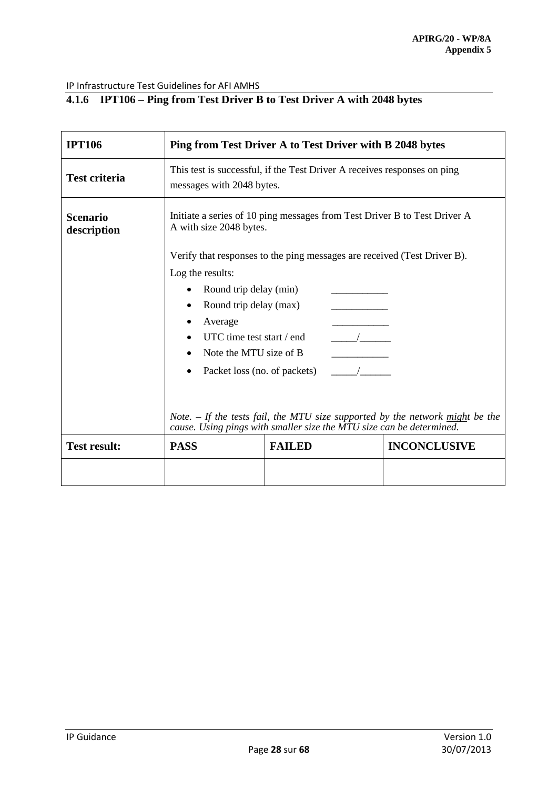# **4.1.6 IPT106 – Ping from Test Driver B to Test Driver A with 2048 bytes**

| <b>IPT106</b>                  | Ping from Test Driver A to Test Driver with B 2048 bytes                                                                                                                                                                                                                       |                                                                                                                                                       |                     |  |
|--------------------------------|--------------------------------------------------------------------------------------------------------------------------------------------------------------------------------------------------------------------------------------------------------------------------------|-------------------------------------------------------------------------------------------------------------------------------------------------------|---------------------|--|
| <b>Test criteria</b>           | This test is successful, if the Test Driver A receives responses on ping<br>messages with 2048 bytes.                                                                                                                                                                          |                                                                                                                                                       |                     |  |
| <b>Scenario</b><br>description | Initiate a series of 10 ping messages from Test Driver B to Test Driver A<br>A with size 2048 bytes.                                                                                                                                                                           |                                                                                                                                                       |                     |  |
|                                | Verify that responses to the ping messages are received (Test Driver B).<br>Log the results:<br>Round trip delay (min)<br>Round trip delay (max)<br>Average<br>UTC time test start / end<br>$\overline{\phantom{a}}$<br>Note the MTU size of B<br>Packet loss (no. of packets) |                                                                                                                                                       |                     |  |
|                                |                                                                                                                                                                                                                                                                                | Note. – If the tests fail, the MTU size supported by the network might be the<br>cause. Using pings with smaller size the MTU size can be determined. |                     |  |
| <b>Test result:</b>            | <b>PASS</b>                                                                                                                                                                                                                                                                    | <b>FAILED</b>                                                                                                                                         | <b>INCONCLUSIVE</b> |  |
|                                |                                                                                                                                                                                                                                                                                |                                                                                                                                                       |                     |  |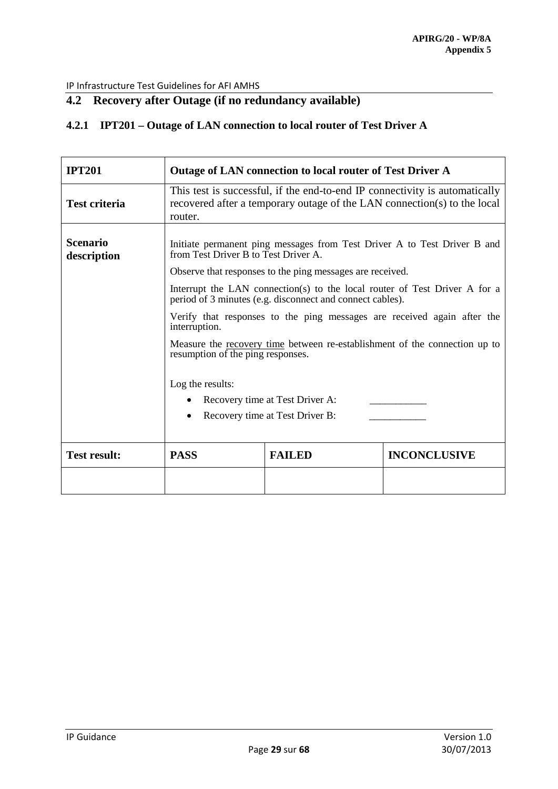# <span id="page-28-0"></span>**4.2 Recovery after Outage (if no redundancy available)**

# **4.2.1 IPT201 – Outage of LAN connection to local router of Test Driver A**

| <b>IPT201</b>                  | Outage of LAN connection to local router of Test Driver A                                                                                                                                                                                                                                                                |               |                     |
|--------------------------------|--------------------------------------------------------------------------------------------------------------------------------------------------------------------------------------------------------------------------------------------------------------------------------------------------------------------------|---------------|---------------------|
| <b>Test criteria</b>           | This test is successful, if the end-to-end IP connectivity is automatically<br>recovered after a temporary outage of the LAN connection(s) to the local<br>router.                                                                                                                                                       |               |                     |
| <b>Scenario</b><br>description | Initiate permanent ping messages from Test Driver A to Test Driver B and<br>from Test Driver B to Test Driver A.<br>Observe that responses to the ping messages are received.<br>Interrupt the LAN connection(s) to the local router of Test Driver A for a<br>period of 3 minutes (e.g. disconnect and connect cables). |               |                     |
|                                | Verify that responses to the ping messages are received again after the<br>interruption.                                                                                                                                                                                                                                 |               |                     |
|                                | Measure the recovery time between re-establishment of the connection up to<br>resumption of the ping responses.                                                                                                                                                                                                          |               |                     |
|                                | Log the results:<br>Recovery time at Test Driver A:<br>Recovery time at Test Driver B:                                                                                                                                                                                                                                   |               |                     |
| <b>Test result:</b>            | <b>PASS</b>                                                                                                                                                                                                                                                                                                              | <b>FAILED</b> | <b>INCONCLUSIVE</b> |
|                                |                                                                                                                                                                                                                                                                                                                          |               |                     |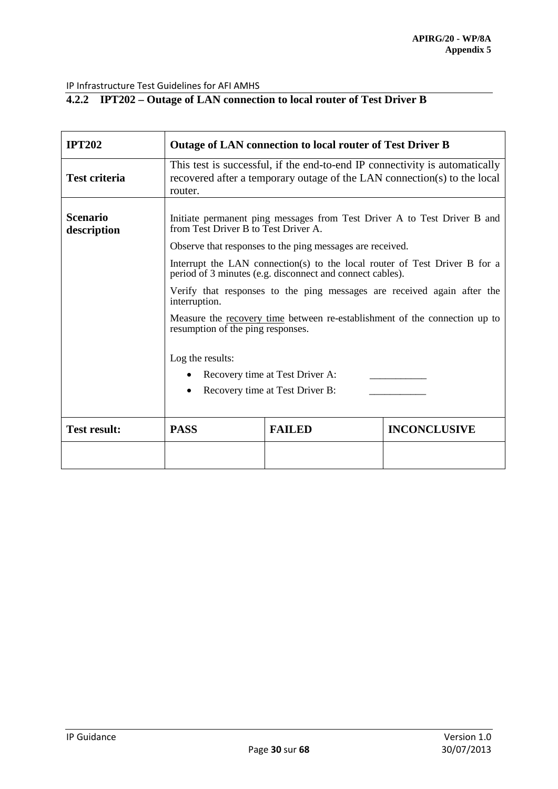# **4.2.2 IPT202 – Outage of LAN connection to local router of Test Driver B**

| <b>IPT202</b>                  | <b>Outage of LAN connection to local router of Test Driver B</b>                                                                                                              |               |                     |
|--------------------------------|-------------------------------------------------------------------------------------------------------------------------------------------------------------------------------|---------------|---------------------|
| <b>Test criteria</b>           | This test is successful, if the end-to-end IP connectivity is automatically<br>recovered after a temporary outage of the LAN connection(s) to the local<br>router.            |               |                     |
| <b>Scenario</b><br>description | Initiate permanent ping messages from Test Driver A to Test Driver B and<br>from Test Driver B to Test Driver A.<br>Observe that responses to the ping messages are received. |               |                     |
|                                |                                                                                                                                                                               |               |                     |
|                                | Interrupt the LAN connection(s) to the local router of Test Driver B for a<br>period of 3 minutes (e.g. disconnect and connect cables).                                       |               |                     |
|                                | Verify that responses to the ping messages are received again after the<br>interruption.                                                                                      |               |                     |
|                                | Measure the recovery time between re-establishment of the connection up to<br>resumption of the ping responses.                                                               |               |                     |
|                                | Log the results:<br>Recovery time at Test Driver A:<br>Recovery time at Test Driver B:                                                                                        |               |                     |
| <b>Test result:</b>            | <b>PASS</b>                                                                                                                                                                   | <b>FAILED</b> | <b>INCONCLUSIVE</b> |
|                                |                                                                                                                                                                               |               |                     |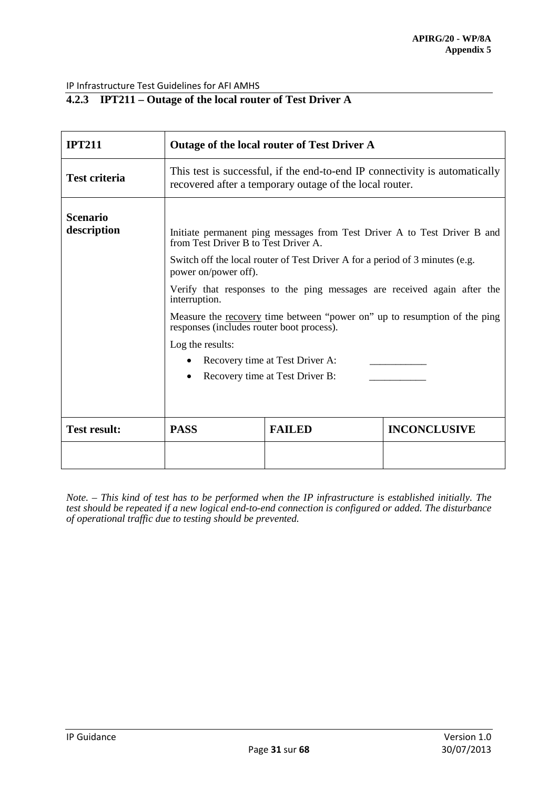# **4.2.3 IPT211 – Outage of the local router of Test Driver A**

| <b>IPT211</b>                  | Outage of the local router of Test Driver A                                                                                                                                                                                                                                                                                                                                                                                                                                                                                              |               |                     |
|--------------------------------|------------------------------------------------------------------------------------------------------------------------------------------------------------------------------------------------------------------------------------------------------------------------------------------------------------------------------------------------------------------------------------------------------------------------------------------------------------------------------------------------------------------------------------------|---------------|---------------------|
| <b>Test criteria</b>           | This test is successful, if the end-to-end IP connectivity is automatically<br>recovered after a temporary outage of the local router.                                                                                                                                                                                                                                                                                                                                                                                                   |               |                     |
| <b>Scenario</b><br>description | Initiate permanent ping messages from Test Driver A to Test Driver B and<br>from Test Driver B to Test Driver A.<br>Switch off the local router of Test Driver A for a period of 3 minutes (e.g.<br>power on/power off).<br>Verify that responses to the ping messages are received again after the<br>interruption.<br>Measure the recovery time between "power on" up to resumption of the ping<br>responses (includes router boot process).<br>Log the results:<br>Recovery time at Test Driver A:<br>Recovery time at Test Driver B: |               |                     |
| <b>Test result:</b>            | <b>PASS</b>                                                                                                                                                                                                                                                                                                                                                                                                                                                                                                                              | <b>FAILED</b> | <b>INCONCLUSIVE</b> |
|                                |                                                                                                                                                                                                                                                                                                                                                                                                                                                                                                                                          |               |                     |

*Note. – This kind of test has to be performed when the IP infrastructure is established initially. The test should be repeated if a new logical end-to-end connection is configured or added. The disturbance of operational traffic due to testing should be prevented.*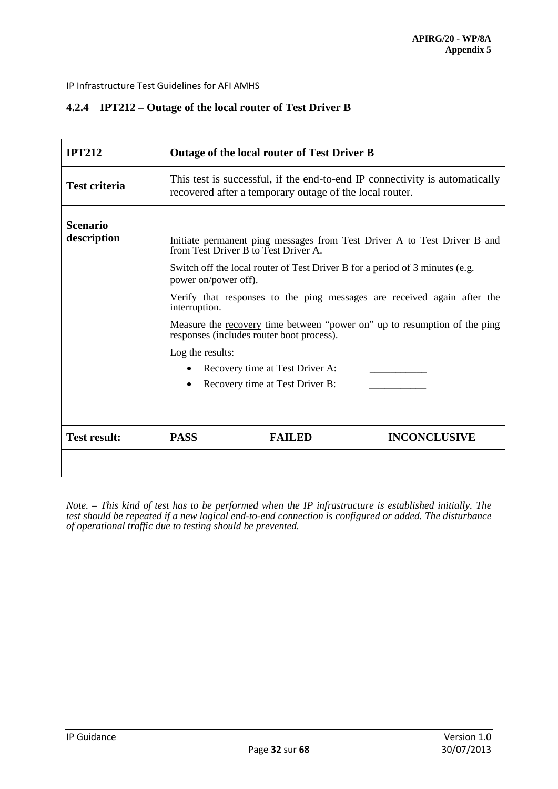# **4.2.4 IPT212 – Outage of the local router of Test Driver B**

| <b>IPT212</b>                  | <b>Outage of the local router of Test Driver B</b>                                                                                                                                                                                                                                                                                                                                                                                                                                                                                              |               |                     |
|--------------------------------|-------------------------------------------------------------------------------------------------------------------------------------------------------------------------------------------------------------------------------------------------------------------------------------------------------------------------------------------------------------------------------------------------------------------------------------------------------------------------------------------------------------------------------------------------|---------------|---------------------|
| <b>Test criteria</b>           | This test is successful, if the end-to-end IP connectivity is automatically<br>recovered after a temporary outage of the local router.                                                                                                                                                                                                                                                                                                                                                                                                          |               |                     |
| <b>Scenario</b><br>description | Initiate permanent ping messages from Test Driver A to Test Driver B and<br>from Test Driver B to Test Driver A.<br>Switch off the local router of Test Driver B for a period of 3 minutes (e.g.<br>power on/power off).<br>Verify that responses to the ping messages are received again after the<br>interruption.<br>Measure the <u>recovery</u> time between "power on" up to resumption of the ping<br>responses (includes router boot process).<br>Log the results:<br>Recovery time at Test Driver A:<br>Recovery time at Test Driver B: |               |                     |
| <b>Test result:</b>            | <b>PASS</b>                                                                                                                                                                                                                                                                                                                                                                                                                                                                                                                                     | <b>FAILED</b> | <b>INCONCLUSIVE</b> |
|                                |                                                                                                                                                                                                                                                                                                                                                                                                                                                                                                                                                 |               |                     |

*Note. – This kind of test has to be performed when the IP infrastructure is established initially. The test should be repeated if a new logical end-to-end connection is configured or added. The disturbance of operational traffic due to testing should be prevented.*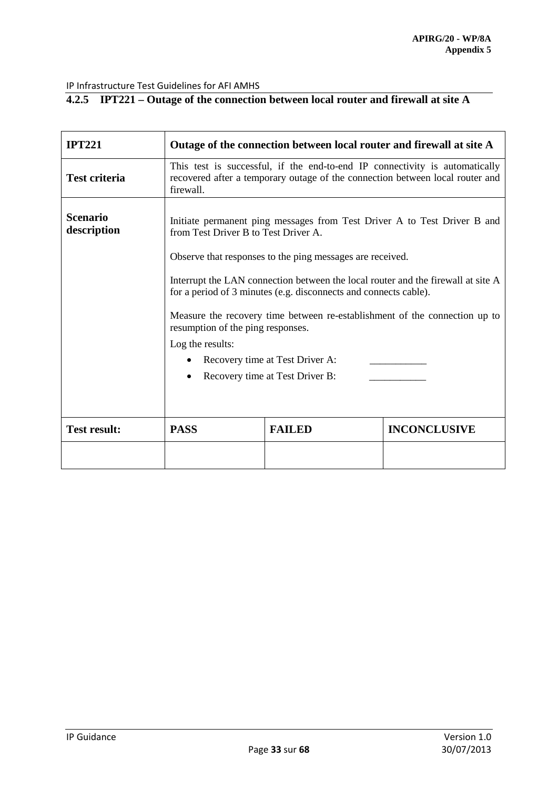# **4.2.5 IPT221 – Outage of the connection between local router and firewall at site A**

| <b>IPT221</b>                  | Outage of the connection between local router and firewall at site A                                                                                                                                                                                                                                                                                                                                                                                                                                                                               |               |                     |  |
|--------------------------------|----------------------------------------------------------------------------------------------------------------------------------------------------------------------------------------------------------------------------------------------------------------------------------------------------------------------------------------------------------------------------------------------------------------------------------------------------------------------------------------------------------------------------------------------------|---------------|---------------------|--|
| <b>Test criteria</b>           | This test is successful, if the end-to-end IP connectivity is automatically<br>recovered after a temporary outage of the connection between local router and<br>firewall.                                                                                                                                                                                                                                                                                                                                                                          |               |                     |  |
| <b>Scenario</b><br>description | Initiate permanent ping messages from Test Driver A to Test Driver B and<br>from Test Driver B to Test Driver A.<br>Observe that responses to the ping messages are received.<br>Interrupt the LAN connection between the local router and the firewall at site A<br>for a period of 3 minutes (e.g. disconnects and connects cable).<br>Measure the recovery time between re-establishment of the connection up to<br>resumption of the ping responses.<br>Log the results:<br>Recovery time at Test Driver A:<br>Recovery time at Test Driver B: |               |                     |  |
| <b>Test result:</b>            | <b>PASS</b>                                                                                                                                                                                                                                                                                                                                                                                                                                                                                                                                        | <b>FAILED</b> | <b>INCONCLUSIVE</b> |  |
|                                |                                                                                                                                                                                                                                                                                                                                                                                                                                                                                                                                                    |               |                     |  |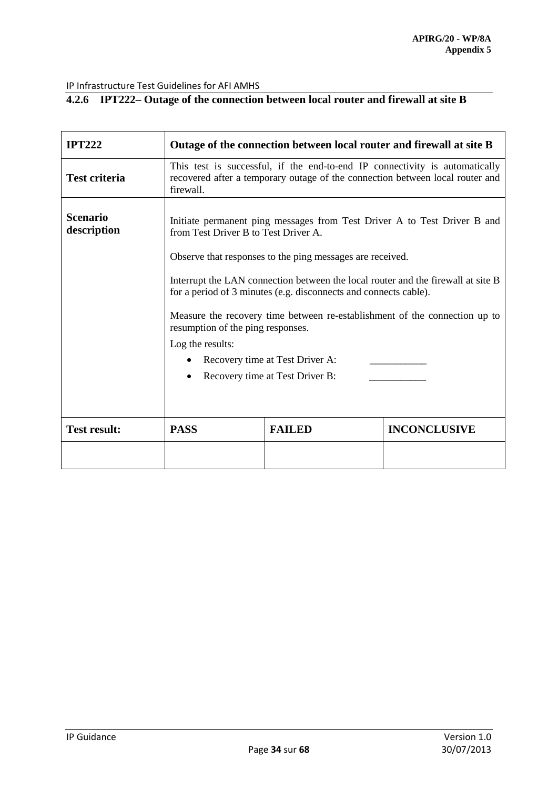# **4.2.6 IPT222– Outage of the connection between local router and firewall at site B**

| <b>IPT222</b>                  | Outage of the connection between local router and firewall at site B                                                                                                                                                                                                                                                                                                                                                                                                                                                                               |               |                     |  |
|--------------------------------|----------------------------------------------------------------------------------------------------------------------------------------------------------------------------------------------------------------------------------------------------------------------------------------------------------------------------------------------------------------------------------------------------------------------------------------------------------------------------------------------------------------------------------------------------|---------------|---------------------|--|
| <b>Test criteria</b>           | This test is successful, if the end-to-end IP connectivity is automatically<br>recovered after a temporary outage of the connection between local router and<br>firewall.                                                                                                                                                                                                                                                                                                                                                                          |               |                     |  |
| <b>Scenario</b><br>description | Initiate permanent ping messages from Test Driver A to Test Driver B and<br>from Test Driver B to Test Driver A.<br>Observe that responses to the ping messages are received.<br>Interrupt the LAN connection between the local router and the firewall at site B<br>for a period of 3 minutes (e.g. disconnects and connects cable).<br>Measure the recovery time between re-establishment of the connection up to<br>resumption of the ping responses.<br>Log the results:<br>Recovery time at Test Driver A:<br>Recovery time at Test Driver B: |               |                     |  |
| <b>Test result:</b>            | <b>PASS</b>                                                                                                                                                                                                                                                                                                                                                                                                                                                                                                                                        | <b>FAILED</b> | <b>INCONCLUSIVE</b> |  |
|                                |                                                                                                                                                                                                                                                                                                                                                                                                                                                                                                                                                    |               |                     |  |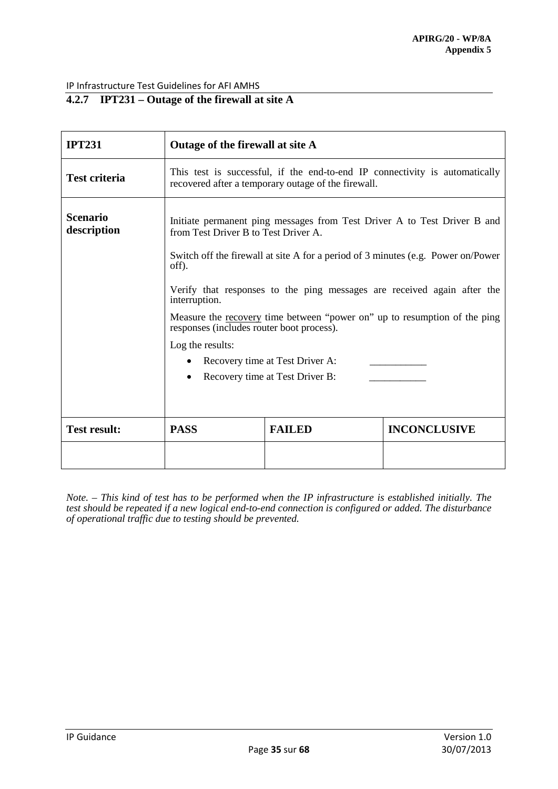# **4.2.7 IPT231 – Outage of the firewall at site A**

| <b>IPT231</b>                  | Outage of the firewall at site A                                                                                                   |                                                                                                                                                                                                                                                                                                                |                                                                          |  |
|--------------------------------|------------------------------------------------------------------------------------------------------------------------------------|----------------------------------------------------------------------------------------------------------------------------------------------------------------------------------------------------------------------------------------------------------------------------------------------------------------|--------------------------------------------------------------------------|--|
| <b>Test criteria</b>           | This test is successful, if the end-to-end IP connectivity is automatically<br>recovered after a temporary outage of the firewall. |                                                                                                                                                                                                                                                                                                                |                                                                          |  |
| <b>Scenario</b><br>description | from Test Driver B to Test Driver A.<br>off).<br>interruption.<br>responses (includes router boot process).<br>Log the results:    | Switch off the firewall at site A for a period of 3 minutes (e.g. Power on/Power<br>Verify that responses to the ping messages are received again after the<br>Measure the recovery time between "power on" up to resumption of the ping<br>Recovery time at Test Driver A:<br>Recovery time at Test Driver B: | Initiate permanent ping messages from Test Driver A to Test Driver B and |  |
| <b>Test result:</b>            | <b>PASS</b>                                                                                                                        | <b>FAILED</b>                                                                                                                                                                                                                                                                                                  | <b>INCONCLUSIVE</b>                                                      |  |
|                                |                                                                                                                                    |                                                                                                                                                                                                                                                                                                                |                                                                          |  |

*Note. – This kind of test has to be performed when the IP infrastructure is established initially. The test should be repeated if a new logical end-to-end connection is configured or added. The disturbance of operational traffic due to testing should be prevented.*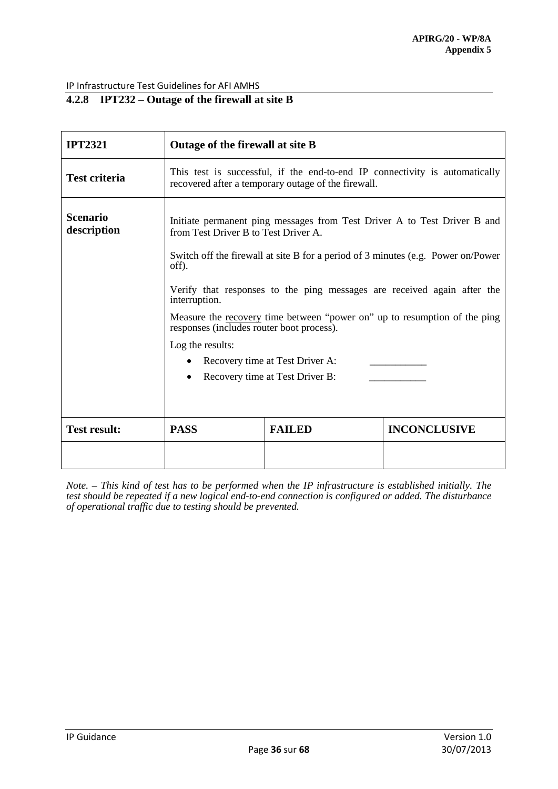# **4.2.8 IPT232 – Outage of the firewall at site B**

| <b>IPT2321</b>                 | Outage of the firewall at site B                                                                                                                                                                                                                                                                                                                                                                                                                        |               |                     |  |
|--------------------------------|---------------------------------------------------------------------------------------------------------------------------------------------------------------------------------------------------------------------------------------------------------------------------------------------------------------------------------------------------------------------------------------------------------------------------------------------------------|---------------|---------------------|--|
| <b>Test criteria</b>           | This test is successful, if the end-to-end IP connectivity is automatically<br>recovered after a temporary outage of the firewall.                                                                                                                                                                                                                                                                                                                      |               |                     |  |
| <b>Scenario</b><br>description | Initiate permanent ping messages from Test Driver A to Test Driver B and<br>from Test Driver B to Test Driver A.<br>Switch off the firewall at site B for a period of 3 minutes (e.g. Power on/Power<br>off).<br>Verify that responses to the ping messages are received again after the<br>interruption.<br>Measure the recovery time between "power on" up to resumption of the ping<br>responses (includes router boot process).<br>Log the results: |               |                     |  |
|                                | Recovery time at Test Driver A:<br>Recovery time at Test Driver B:                                                                                                                                                                                                                                                                                                                                                                                      |               |                     |  |
| <b>Test result:</b>            | <b>PASS</b>                                                                                                                                                                                                                                                                                                                                                                                                                                             | <b>FAILED</b> | <b>INCONCLUSIVE</b> |  |

*Note. – This kind of test has to be performed when the IP infrastructure is established initially. The test should be repeated if a new logical end-to-end connection is configured or added. The disturbance of operational traffic due to testing should be prevented.*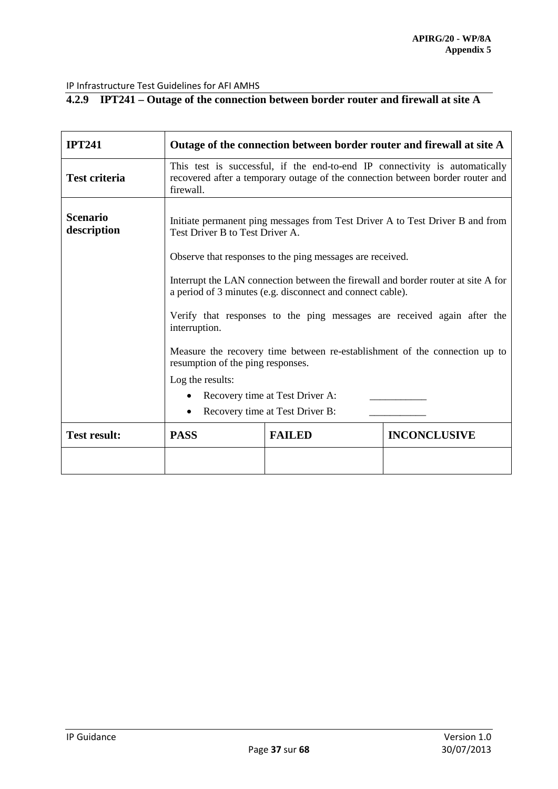# **4.2.9 IPT241 – Outage of the connection between border router and firewall at site A**

| <b>IPT241</b>                  | Outage of the connection between border router and firewall at site A                                                                                                      |               |                     |  |
|--------------------------------|----------------------------------------------------------------------------------------------------------------------------------------------------------------------------|---------------|---------------------|--|
| <b>Test criteria</b>           | This test is successful, if the end-to-end IP connectivity is automatically<br>recovered after a temporary outage of the connection between border router and<br>firewall. |               |                     |  |
| <b>Scenario</b><br>description | Initiate permanent ping messages from Test Driver A to Test Driver B and from<br>Test Driver B to Test Driver A.                                                           |               |                     |  |
|                                | Observe that responses to the ping messages are received.                                                                                                                  |               |                     |  |
|                                | Interrupt the LAN connection between the firewall and border router at site A for<br>a period of 3 minutes (e.g. disconnect and connect cable).                            |               |                     |  |
|                                | Verify that responses to the ping messages are received again after the<br>interruption.                                                                                   |               |                     |  |
|                                | Measure the recovery time between re-establishment of the connection up to<br>resumption of the ping responses.                                                            |               |                     |  |
|                                | Log the results:                                                                                                                                                           |               |                     |  |
|                                | Recovery time at Test Driver A:<br>$\bullet$                                                                                                                               |               |                     |  |
|                                | Recovery time at Test Driver B:                                                                                                                                            |               |                     |  |
| <b>Test result:</b>            | <b>PASS</b>                                                                                                                                                                | <b>FAILED</b> | <b>INCONCLUSIVE</b> |  |
|                                |                                                                                                                                                                            |               |                     |  |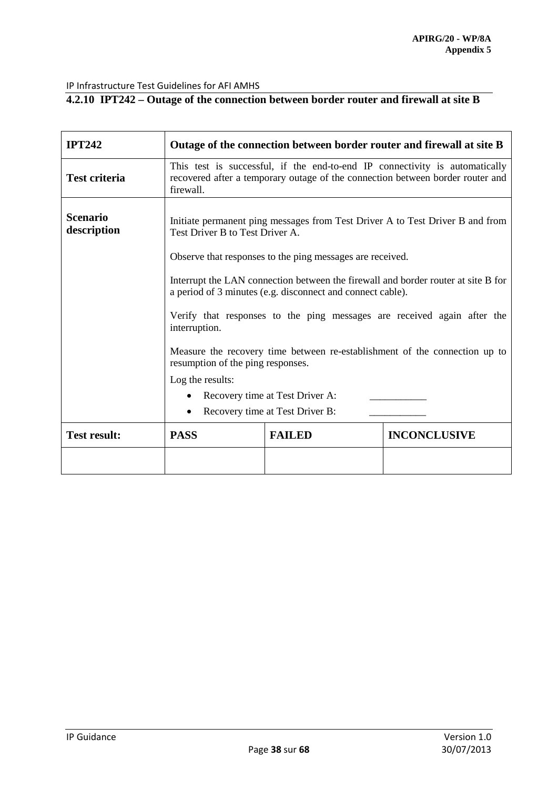# **4.2.10 IPT242 – Outage of the connection between border router and firewall at site B**

| <b>IPT242</b>                  | Outage of the connection between border router and firewall at site B                                                                                                      |               |                     |  |
|--------------------------------|----------------------------------------------------------------------------------------------------------------------------------------------------------------------------|---------------|---------------------|--|
| <b>Test criteria</b>           | This test is successful, if the end-to-end IP connectivity is automatically<br>recovered after a temporary outage of the connection between border router and<br>firewall. |               |                     |  |
| <b>Scenario</b><br>description | Initiate permanent ping messages from Test Driver A to Test Driver B and from<br>Test Driver B to Test Driver A.                                                           |               |                     |  |
|                                | Observe that responses to the ping messages are received.                                                                                                                  |               |                     |  |
|                                | Interrupt the LAN connection between the firewall and border router at site B for<br>a period of 3 minutes (e.g. disconnect and connect cable).                            |               |                     |  |
|                                | Verify that responses to the ping messages are received again after the<br>interruption.                                                                                   |               |                     |  |
|                                | Measure the recovery time between re-establishment of the connection up to<br>resumption of the ping responses.                                                            |               |                     |  |
|                                | Log the results:                                                                                                                                                           |               |                     |  |
|                                | Recovery time at Test Driver A:<br>$\bullet$                                                                                                                               |               |                     |  |
|                                | Recovery time at Test Driver B:                                                                                                                                            |               |                     |  |
| <b>Test result:</b>            | <b>PASS</b>                                                                                                                                                                | <b>FAILED</b> | <b>INCONCLUSIVE</b> |  |
|                                |                                                                                                                                                                            |               |                     |  |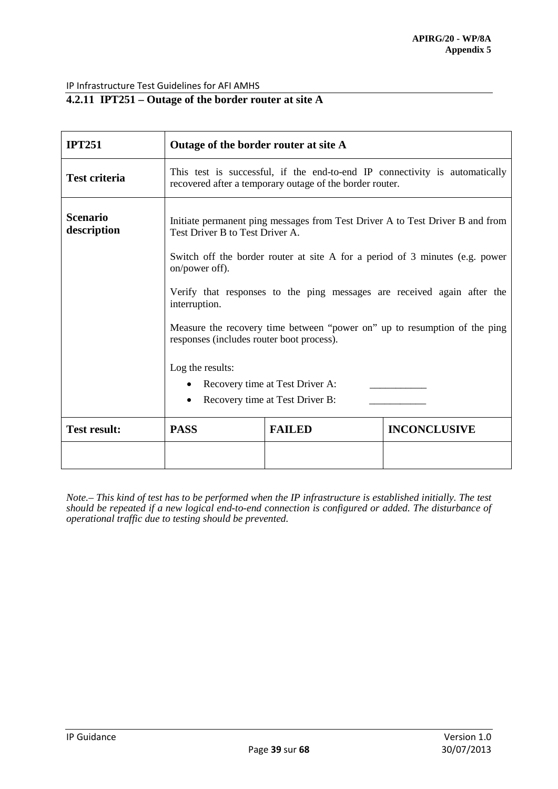# **4.2.11 IPT251 – Outage of the border router at site A**

| <b>IPT251</b>                  | Outage of the border router at site A                                                                                                   |                                 |                                                                                                                                                                                                                                                                                                                       |  |
|--------------------------------|-----------------------------------------------------------------------------------------------------------------------------------------|---------------------------------|-----------------------------------------------------------------------------------------------------------------------------------------------------------------------------------------------------------------------------------------------------------------------------------------------------------------------|--|
| <b>Test criteria</b>           | This test is successful, if the end-to-end IP connectivity is automatically<br>recovered after a temporary outage of the border router. |                                 |                                                                                                                                                                                                                                                                                                                       |  |
| <b>Scenario</b><br>description | Test Driver B to Test Driver A.<br>on/power off).<br>interruption.<br>responses (includes router boot process).<br>Log the results:     | Recovery time at Test Driver A: | Initiate permanent ping messages from Test Driver A to Test Driver B and from<br>Switch off the border router at site A for a period of 3 minutes (e.g. power<br>Verify that responses to the ping messages are received again after the<br>Measure the recovery time between "power on" up to resumption of the ping |  |
|                                | Recovery time at Test Driver B:                                                                                                         |                                 |                                                                                                                                                                                                                                                                                                                       |  |
| <b>Test result:</b>            | <b>PASS</b>                                                                                                                             | <b>FAILED</b>                   | <b>INCONCLUSIVE</b>                                                                                                                                                                                                                                                                                                   |  |
|                                |                                                                                                                                         |                                 |                                                                                                                                                                                                                                                                                                                       |  |

*Note.– This kind of test has to be performed when the IP infrastructure is established initially. The test should be repeated if a new logical end-to-end connection is configured or added. The disturbance of operational traffic due to testing should be prevented.*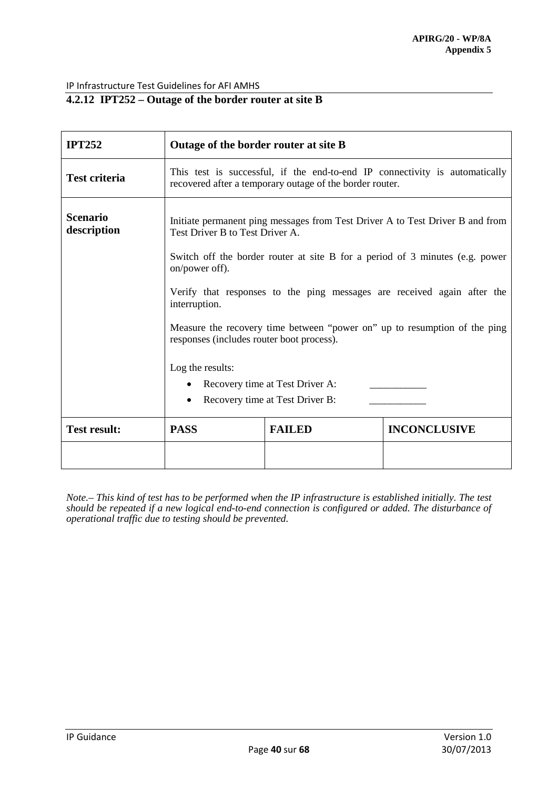# **4.2.12 IPT252 – Outage of the border router at site B**

| <b>IPT252</b>                  | Outage of the border router at site B                                                                                                                                                                                                                                                                                                                                                                                                    |               |                     |  |
|--------------------------------|------------------------------------------------------------------------------------------------------------------------------------------------------------------------------------------------------------------------------------------------------------------------------------------------------------------------------------------------------------------------------------------------------------------------------------------|---------------|---------------------|--|
| <b>Test criteria</b>           | This test is successful, if the end-to-end IP connectivity is automatically<br>recovered after a temporary outage of the border router.                                                                                                                                                                                                                                                                                                  |               |                     |  |
| <b>Scenario</b><br>description | Initiate permanent ping messages from Test Driver A to Test Driver B and from<br>Test Driver B to Test Driver A.<br>Switch off the border router at site B for a period of 3 minutes (e.g. power<br>on/power off).<br>Verify that responses to the ping messages are received again after the<br>interruption.<br>Measure the recovery time between "power on" up to resumption of the ping<br>responses (includes router boot process). |               |                     |  |
|                                | Log the results:<br>Recovery time at Test Driver A:<br>Recovery time at Test Driver B:                                                                                                                                                                                                                                                                                                                                                   |               |                     |  |
| <b>Test result:</b>            | <b>PASS</b>                                                                                                                                                                                                                                                                                                                                                                                                                              | <b>FAILED</b> | <b>INCONCLUSIVE</b> |  |
|                                |                                                                                                                                                                                                                                                                                                                                                                                                                                          |               |                     |  |

*Note.– This kind of test has to be performed when the IP infrastructure is established initially. The test should be repeated if a new logical end-to-end connection is configured or added. The disturbance of operational traffic due to testing should be prevented.*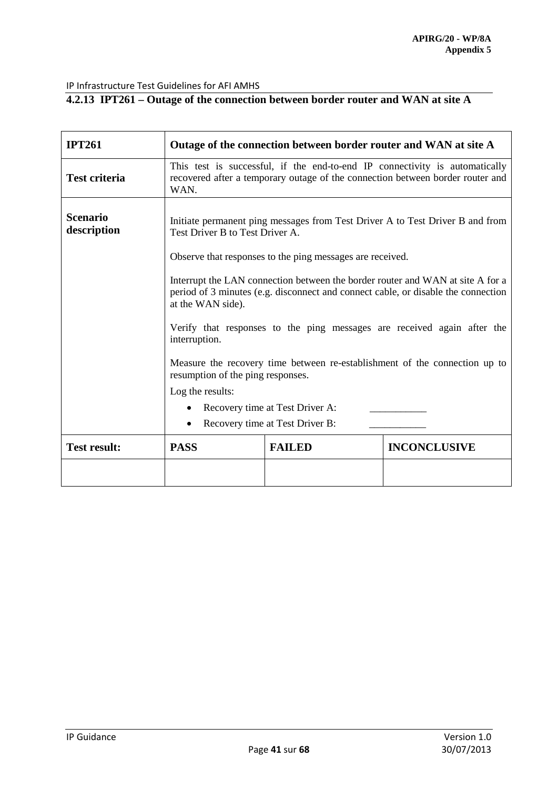# **4.2.13 IPT261 – Outage of the connection between border router and WAN at site A**

| <b>IPT261</b>                  | Outage of the connection between border router and WAN at site A                                                                                                                                                                                                                                                                                                   |                                                           |                     |  |
|--------------------------------|--------------------------------------------------------------------------------------------------------------------------------------------------------------------------------------------------------------------------------------------------------------------------------------------------------------------------------------------------------------------|-----------------------------------------------------------|---------------------|--|
| <b>Test criteria</b>           | This test is successful, if the end-to-end IP connectivity is automatically<br>recovered after a temporary outage of the connection between border router and<br>WAN.                                                                                                                                                                                              |                                                           |                     |  |
| <b>Scenario</b><br>description | Initiate permanent ping messages from Test Driver A to Test Driver B and from<br>Test Driver B to Test Driver A.                                                                                                                                                                                                                                                   |                                                           |                     |  |
|                                |                                                                                                                                                                                                                                                                                                                                                                    | Observe that responses to the ping messages are received. |                     |  |
|                                | Interrupt the LAN connection between the border router and WAN at site A for a<br>period of 3 minutes (e.g. disconnect and connect cable, or disable the connection<br>at the WAN side).<br>Verify that responses to the ping messages are received again after the<br>interruption.<br>Measure the recovery time between re-establishment of the connection up to |                                                           |                     |  |
|                                | resumption of the ping responses.<br>Log the results:                                                                                                                                                                                                                                                                                                              |                                                           |                     |  |
|                                | Recovery time at Test Driver A:<br>Recovery time at Test Driver B:                                                                                                                                                                                                                                                                                                 |                                                           |                     |  |
| <b>Test result:</b>            | <b>PASS</b>                                                                                                                                                                                                                                                                                                                                                        | <b>FAILED</b>                                             | <b>INCONCLUSIVE</b> |  |
|                                |                                                                                                                                                                                                                                                                                                                                                                    |                                                           |                     |  |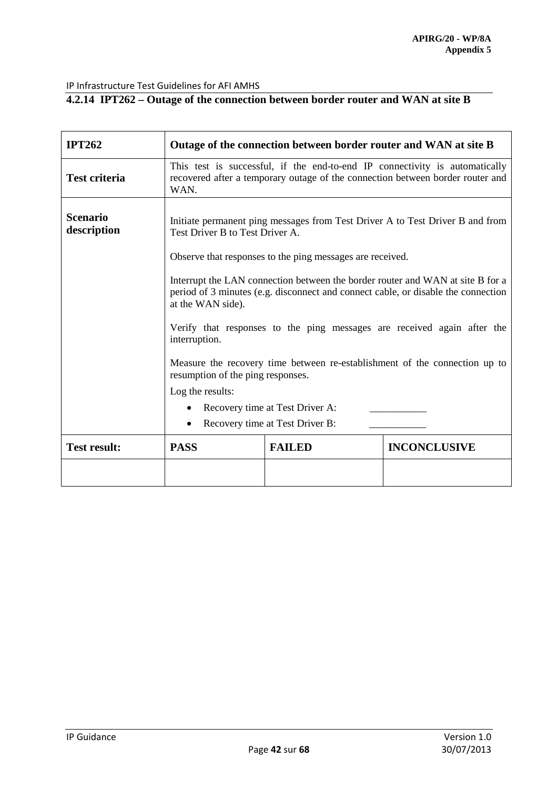# **4.2.14 IPT262 – Outage of the connection between border router and WAN at site B**

| <b>IPT262</b>                  | Outage of the connection between border router and WAN at site B                                                                                                                                                                                                                                                                                                   |                                                           |                     |  |
|--------------------------------|--------------------------------------------------------------------------------------------------------------------------------------------------------------------------------------------------------------------------------------------------------------------------------------------------------------------------------------------------------------------|-----------------------------------------------------------|---------------------|--|
| <b>Test criteria</b>           | This test is successful, if the end-to-end IP connectivity is automatically<br>recovered after a temporary outage of the connection between border router and<br>WAN.                                                                                                                                                                                              |                                                           |                     |  |
| <b>Scenario</b><br>description | Initiate permanent ping messages from Test Driver A to Test Driver B and from<br>Test Driver B to Test Driver A.                                                                                                                                                                                                                                                   |                                                           |                     |  |
|                                |                                                                                                                                                                                                                                                                                                                                                                    | Observe that responses to the ping messages are received. |                     |  |
|                                | Interrupt the LAN connection between the border router and WAN at site B for a<br>period of 3 minutes (e.g. disconnect and connect cable, or disable the connection<br>at the WAN side).<br>Verify that responses to the ping messages are received again after the<br>interruption.<br>Measure the recovery time between re-establishment of the connection up to |                                                           |                     |  |
|                                | resumption of the ping responses.<br>Log the results:                                                                                                                                                                                                                                                                                                              |                                                           |                     |  |
|                                | Recovery time at Test Driver A:                                                                                                                                                                                                                                                                                                                                    |                                                           |                     |  |
|                                | Recovery time at Test Driver B:                                                                                                                                                                                                                                                                                                                                    |                                                           |                     |  |
| <b>Test result:</b>            | <b>PASS</b>                                                                                                                                                                                                                                                                                                                                                        | <b>FAILED</b>                                             | <b>INCONCLUSIVE</b> |  |
|                                |                                                                                                                                                                                                                                                                                                                                                                    |                                                           |                     |  |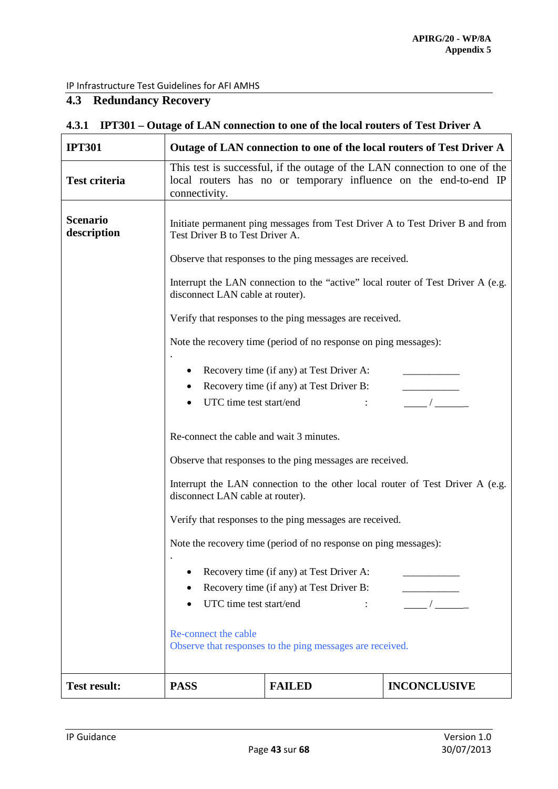# <span id="page-42-0"></span>**4.3 Redundancy Recovery**

| <b>IPT301</b>                  | Outage of LAN connection to one of the local routers of Test Driver A                                                                                                                                |                                                                                                                      |                                                                               |  |  |  |
|--------------------------------|------------------------------------------------------------------------------------------------------------------------------------------------------------------------------------------------------|----------------------------------------------------------------------------------------------------------------------|-------------------------------------------------------------------------------|--|--|--|
| <b>Test criteria</b>           | This test is successful, if the outage of the LAN connection to one of the<br>local routers has no or temporary influence on the end-to-end IP<br>connectivity.                                      |                                                                                                                      |                                                                               |  |  |  |
| <b>Scenario</b><br>description | Initiate permanent ping messages from Test Driver A to Test Driver B and from<br>Test Driver B to Test Driver A.                                                                                     |                                                                                                                      |                                                                               |  |  |  |
|                                |                                                                                                                                                                                                      | Observe that responses to the ping messages are received.                                                            |                                                                               |  |  |  |
|                                |                                                                                                                                                                                                      | Interrupt the LAN connection to the "active" local router of Test Driver A (e.g.<br>disconnect LAN cable at router). |                                                                               |  |  |  |
|                                |                                                                                                                                                                                                      | Verify that responses to the ping messages are received.                                                             |                                                                               |  |  |  |
|                                |                                                                                                                                                                                                      | Note the recovery time (period of no response on ping messages):                                                     |                                                                               |  |  |  |
|                                | Recovery time (if any) at Test Driver A:<br>Recovery time (if any) at Test Driver B:<br>UTC time test start/end                                                                                      |                                                                                                                      |                                                                               |  |  |  |
|                                | Re-connect the cable and wait 3 minutes.                                                                                                                                                             |                                                                                                                      |                                                                               |  |  |  |
|                                |                                                                                                                                                                                                      | Observe that responses to the ping messages are received.                                                            |                                                                               |  |  |  |
|                                | disconnect LAN cable at router).                                                                                                                                                                     |                                                                                                                      | Interrupt the LAN connection to the other local router of Test Driver A (e.g. |  |  |  |
|                                | Verify that responses to the ping messages are received.                                                                                                                                             |                                                                                                                      |                                                                               |  |  |  |
|                                |                                                                                                                                                                                                      | Note the recovery time (period of no response on ping messages):                                                     |                                                                               |  |  |  |
|                                | Recovery time (if any) at Test Driver A:<br>Recovery time (if any) at Test Driver B:<br>UTC time test start/end<br>Re-connect the cable<br>Observe that responses to the ping messages are received. |                                                                                                                      |                                                                               |  |  |  |
| <b>Test result:</b>            | <b>PASS</b>                                                                                                                                                                                          | <b>FAILED</b>                                                                                                        | <b>INCONCLUSIVE</b>                                                           |  |  |  |

# **4.3.1 IPT301 – Outage of LAN connection to one of the local routers of Test Driver A**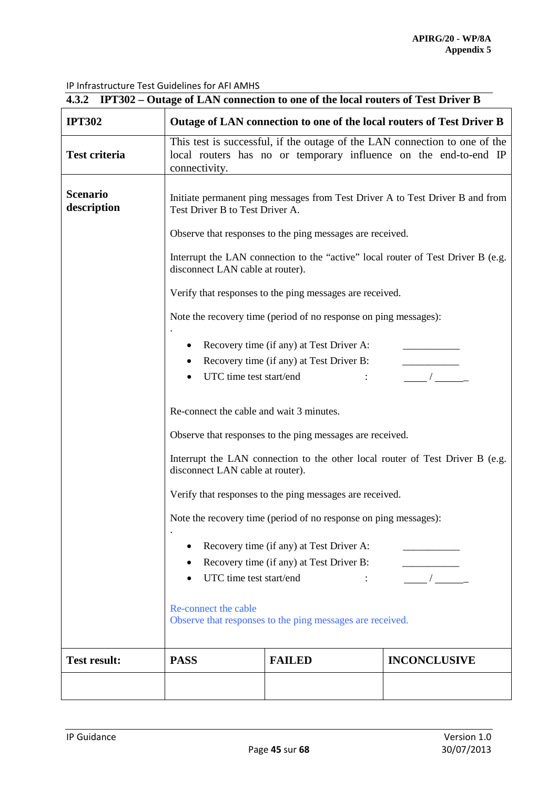| 4.3.2 IPT302 – Outage of LAN connection to one of the local routers of Test Driver B |                                                                                                                                                                 |                                                                  |                                                                                  |  |  |
|--------------------------------------------------------------------------------------|-----------------------------------------------------------------------------------------------------------------------------------------------------------------|------------------------------------------------------------------|----------------------------------------------------------------------------------|--|--|
| <b>IPT302</b>                                                                        |                                                                                                                                                                 |                                                                  | Outage of LAN connection to one of the local routers of Test Driver B            |  |  |
| <b>Test criteria</b>                                                                 | This test is successful, if the outage of the LAN connection to one of the<br>local routers has no or temporary influence on the end-to-end IP<br>connectivity. |                                                                  |                                                                                  |  |  |
| <b>Scenario</b><br>description                                                       | Test Driver B to Test Driver A.                                                                                                                                 |                                                                  | Initiate permanent ping messages from Test Driver A to Test Driver B and from    |  |  |
|                                                                                      | Observe that responses to the ping messages are received.                                                                                                       |                                                                  |                                                                                  |  |  |
|                                                                                      | disconnect LAN cable at router).                                                                                                                                |                                                                  | Interrupt the LAN connection to the "active" local router of Test Driver B (e.g. |  |  |
|                                                                                      |                                                                                                                                                                 | Verify that responses to the ping messages are received.         |                                                                                  |  |  |
|                                                                                      |                                                                                                                                                                 | Note the recovery time (period of no response on ping messages): |                                                                                  |  |  |
|                                                                                      | Recovery time (if any) at Test Driver A:<br>Recovery time (if any) at Test Driver B:<br>UTC time test start/end                                                 |                                                                  |                                                                                  |  |  |
|                                                                                      | Re-connect the cable and wait 3 minutes.                                                                                                                        |                                                                  |                                                                                  |  |  |
|                                                                                      |                                                                                                                                                                 | Observe that responses to the ping messages are received.        |                                                                                  |  |  |
|                                                                                      | Interrupt the LAN connection to the other local router of Test Driver B (e.g.<br>disconnect LAN cable at router).                                               |                                                                  |                                                                                  |  |  |
|                                                                                      | Verify that responses to the ping messages are received.                                                                                                        |                                                                  |                                                                                  |  |  |
|                                                                                      | Note the recovery time (period of no response on ping messages):                                                                                                |                                                                  |                                                                                  |  |  |
|                                                                                      | Recovery time (if any) at Test Driver A:<br>Recovery time (if any) at Test Driver B:<br>UTC time test start/end                                                 |                                                                  |                                                                                  |  |  |
|                                                                                      | Re-connect the cable<br>Observe that responses to the ping messages are received.                                                                               |                                                                  |                                                                                  |  |  |
| <b>Test result:</b>                                                                  | <b>PASS</b>                                                                                                                                                     | <b>FAILED</b>                                                    | <b>INCONCLUSIVE</b>                                                              |  |  |
|                                                                                      |                                                                                                                                                                 |                                                                  |                                                                                  |  |  |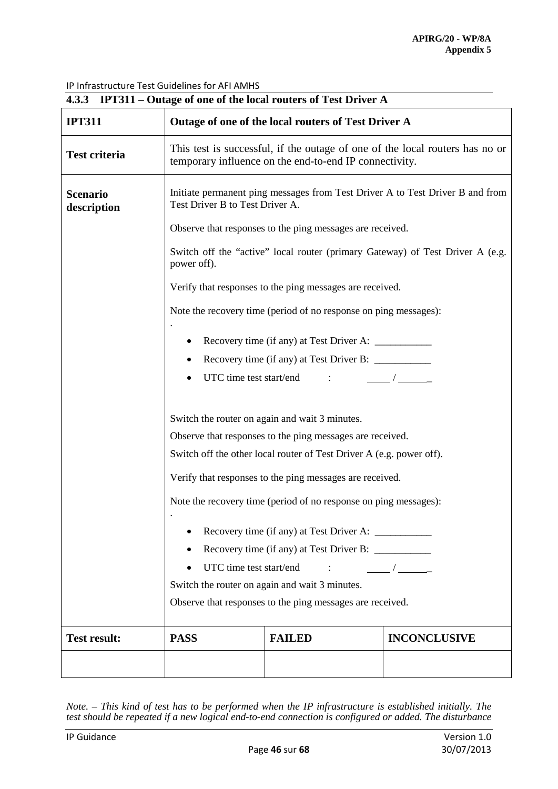| 4.3.3 IPT311 – Outage of one of the local routers of Test Driver A |                                                                                                                                                                                                                                                 |                                                                  |                                                                               |  |  |
|--------------------------------------------------------------------|-------------------------------------------------------------------------------------------------------------------------------------------------------------------------------------------------------------------------------------------------|------------------------------------------------------------------|-------------------------------------------------------------------------------|--|--|
| <b>IPT311</b>                                                      |                                                                                                                                                                                                                                                 | Outage of one of the local routers of Test Driver A              |                                                                               |  |  |
| <b>Test criteria</b>                                               | This test is successful, if the outage of one of the local routers has no or<br>temporary influence on the end-to-end IP connectivity.                                                                                                          |                                                                  |                                                                               |  |  |
| <b>Scenario</b><br>description                                     | Initiate permanent ping messages from Test Driver A to Test Driver B and from<br>Test Driver B to Test Driver A.                                                                                                                                |                                                                  |                                                                               |  |  |
|                                                                    | Observe that responses to the ping messages are received.                                                                                                                                                                                       |                                                                  |                                                                               |  |  |
|                                                                    | power off).                                                                                                                                                                                                                                     |                                                                  | Switch off the "active" local router (primary Gateway) of Test Driver A (e.g. |  |  |
|                                                                    |                                                                                                                                                                                                                                                 | Verify that responses to the ping messages are received.         |                                                                               |  |  |
|                                                                    |                                                                                                                                                                                                                                                 | Note the recovery time (period of no response on ping messages): |                                                                               |  |  |
|                                                                    |                                                                                                                                                                                                                                                 |                                                                  |                                                                               |  |  |
|                                                                    |                                                                                                                                                                                                                                                 |                                                                  |                                                                               |  |  |
|                                                                    |                                                                                                                                                                                                                                                 | UTC time test start/end<br>$\sim 10^{11}$ and $\sim 10^{11}$     |                                                                               |  |  |
|                                                                    | Switch the router on again and wait 3 minutes.<br>Observe that responses to the ping messages are received.<br>Switch off the other local router of Test Driver A (e.g. power off).<br>Verify that responses to the ping messages are received. |                                                                  |                                                                               |  |  |
|                                                                    |                                                                                                                                                                                                                                                 | Note the recovery time (period of no response on ping messages): |                                                                               |  |  |
|                                                                    | UTC time test start/end<br>$\overline{\phantom{a}}$<br>$\ddot{\phantom{0}}$<br>Switch the router on again and wait 3 minutes.<br>Observe that responses to the ping messages are received.                                                      |                                                                  |                                                                               |  |  |
| <b>Test result:</b>                                                | <b>PASS</b>                                                                                                                                                                                                                                     | <b>FAILED</b>                                                    | <b>INCONCLUSIVE</b>                                                           |  |  |
|                                                                    |                                                                                                                                                                                                                                                 |                                                                  |                                                                               |  |  |

*Note. – This kind of test has to be performed when the IP infrastructure is established initially. The test should be repeated if a new logical end-to-end connection is configured or added. The disturbance*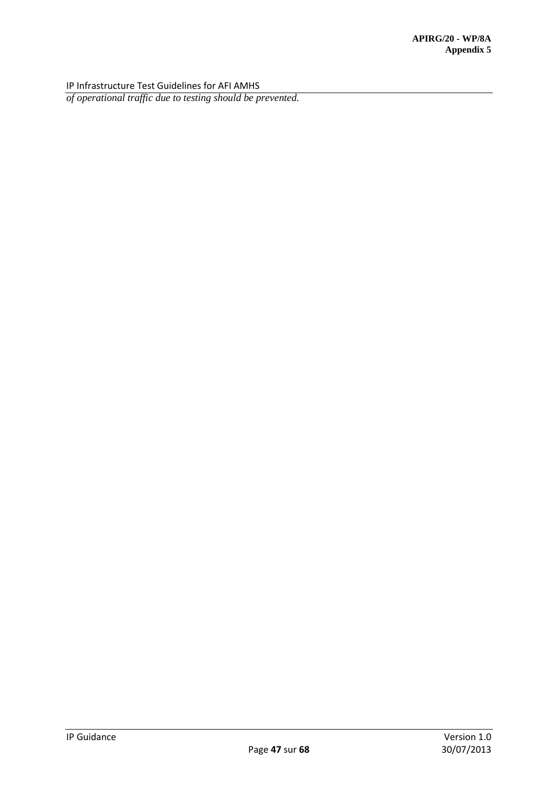*of operational traffic due to testing should be prevented.*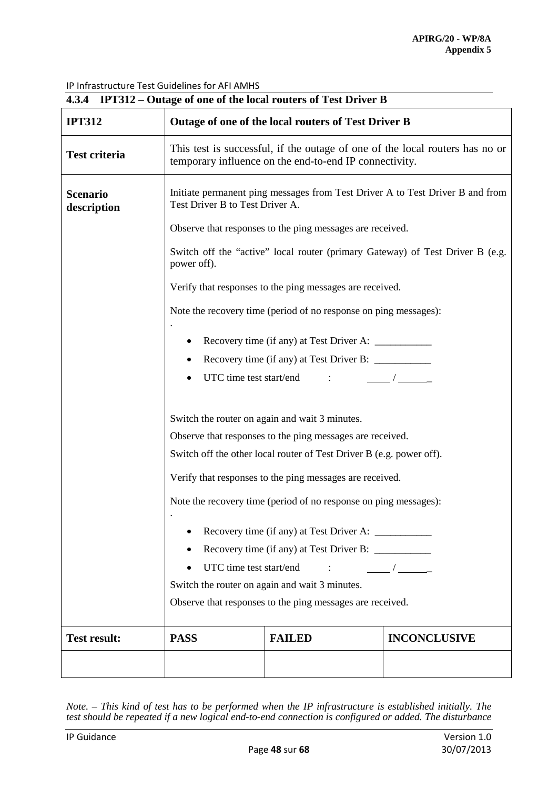| 4.3.4 IPT312 – Outage of one of the local routers of Test Driver B |                                                                                                                                                                                                                                                                                                                                                                                                                                                                                                                   |                                                                  |                                                                               |  |  |
|--------------------------------------------------------------------|-------------------------------------------------------------------------------------------------------------------------------------------------------------------------------------------------------------------------------------------------------------------------------------------------------------------------------------------------------------------------------------------------------------------------------------------------------------------------------------------------------------------|------------------------------------------------------------------|-------------------------------------------------------------------------------|--|--|
| <b>IPT312</b>                                                      |                                                                                                                                                                                                                                                                                                                                                                                                                                                                                                                   | Outage of one of the local routers of Test Driver B              |                                                                               |  |  |
| <b>Test criteria</b>                                               | This test is successful, if the outage of one of the local routers has no or<br>temporary influence on the end-to-end IP connectivity.                                                                                                                                                                                                                                                                                                                                                                            |                                                                  |                                                                               |  |  |
| <b>Scenario</b><br>description                                     | Initiate permanent ping messages from Test Driver A to Test Driver B and from<br>Test Driver B to Test Driver A.                                                                                                                                                                                                                                                                                                                                                                                                  |                                                                  |                                                                               |  |  |
|                                                                    | Observe that responses to the ping messages are received.                                                                                                                                                                                                                                                                                                                                                                                                                                                         |                                                                  |                                                                               |  |  |
|                                                                    | power off).                                                                                                                                                                                                                                                                                                                                                                                                                                                                                                       |                                                                  | Switch off the "active" local router (primary Gateway) of Test Driver B (e.g. |  |  |
|                                                                    |                                                                                                                                                                                                                                                                                                                                                                                                                                                                                                                   | Verify that responses to the ping messages are received.         |                                                                               |  |  |
|                                                                    |                                                                                                                                                                                                                                                                                                                                                                                                                                                                                                                   | Note the recovery time (period of no response on ping messages): |                                                                               |  |  |
|                                                                    |                                                                                                                                                                                                                                                                                                                                                                                                                                                                                                                   |                                                                  |                                                                               |  |  |
|                                                                    |                                                                                                                                                                                                                                                                                                                                                                                                                                                                                                                   |                                                                  |                                                                               |  |  |
|                                                                    |                                                                                                                                                                                                                                                                                                                                                                                                                                                                                                                   | UTC time test start/end :                                        |                                                                               |  |  |
|                                                                    | Switch the router on again and wait 3 minutes.<br>Observe that responses to the ping messages are received.<br>Switch off the other local router of Test Driver B (e.g. power off).<br>Verify that responses to the ping messages are received.<br>Note the recovery time (period of no response on ping messages):<br>UTC time test start/end<br>$\overline{\phantom{a}}$<br>$\ddot{\phantom{0}}$<br>Switch the router on again and wait 3 minutes.<br>Observe that responses to the ping messages are received. |                                                                  |                                                                               |  |  |
|                                                                    |                                                                                                                                                                                                                                                                                                                                                                                                                                                                                                                   |                                                                  |                                                                               |  |  |
| <b>Test result:</b>                                                | <b>PASS</b>                                                                                                                                                                                                                                                                                                                                                                                                                                                                                                       | <b>FAILED</b>                                                    | <b>INCONCLUSIVE</b>                                                           |  |  |
|                                                                    |                                                                                                                                                                                                                                                                                                                                                                                                                                                                                                                   |                                                                  |                                                                               |  |  |

*Note. – This kind of test has to be performed when the IP infrastructure is established initially. The test should be repeated if a new logical end-to-end connection is configured or added. The disturbance*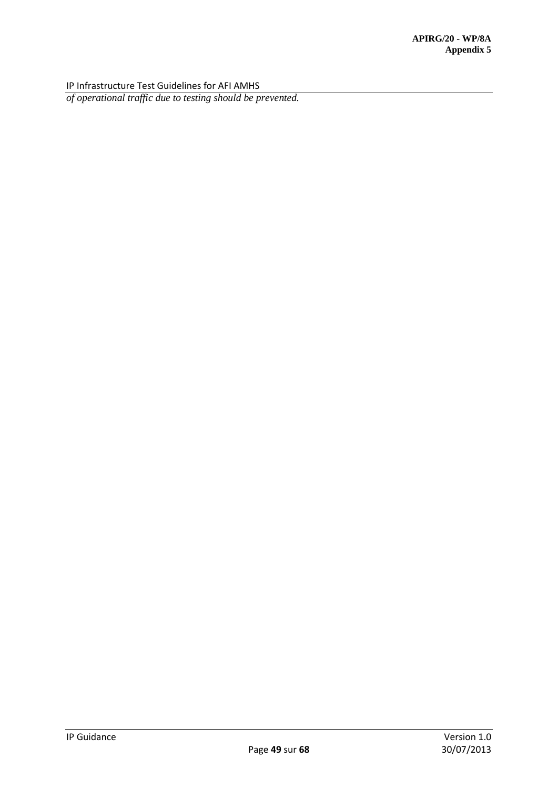*of operational traffic due to testing should be prevented.*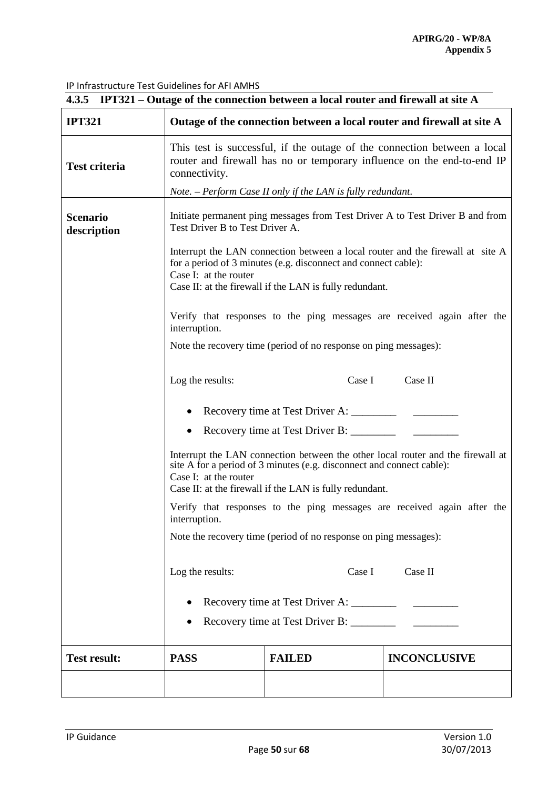| 4.3.5 IPT321 – Outage of the connection between a local router and firewall at site A |                                                                                                                                                                                                                                              |                                                             |                                                                        |  |  |
|---------------------------------------------------------------------------------------|----------------------------------------------------------------------------------------------------------------------------------------------------------------------------------------------------------------------------------------------|-------------------------------------------------------------|------------------------------------------------------------------------|--|--|
| <b>IPT321</b>                                                                         |                                                                                                                                                                                                                                              |                                                             | Outage of the connection between a local router and firewall at site A |  |  |
| <b>Test criteria</b>                                                                  | This test is successful, if the outage of the connection between a local<br>router and firewall has no or temporary influence on the end-to-end IP<br>connectivity.                                                                          |                                                             |                                                                        |  |  |
|                                                                                       |                                                                                                                                                                                                                                              | Note. – Perform Case II only if the LAN is fully redundant. |                                                                        |  |  |
| <b>Scenario</b><br>description                                                        | Initiate permanent ping messages from Test Driver A to Test Driver B and from<br>Test Driver B to Test Driver A.                                                                                                                             |                                                             |                                                                        |  |  |
|                                                                                       | Interrupt the LAN connection between a local router and the firewall at site A<br>for a period of 3 minutes (e.g. disconnect and connect cable):<br>Case I: at the router<br>Case II: at the firewall if the LAN is fully redundant.         |                                                             |                                                                        |  |  |
|                                                                                       | Verify that responses to the ping messages are received again after the<br>interruption.                                                                                                                                                     |                                                             |                                                                        |  |  |
|                                                                                       | Note the recovery time (period of no response on ping messages):                                                                                                                                                                             |                                                             |                                                                        |  |  |
|                                                                                       | Case II<br>Log the results:<br>Case I                                                                                                                                                                                                        |                                                             |                                                                        |  |  |
|                                                                                       | • Recovery time at Test Driver A: _________                                                                                                                                                                                                  |                                                             |                                                                        |  |  |
|                                                                                       | $\bullet$                                                                                                                                                                                                                                    | Recovery time at Test Driver B: ________                    |                                                                        |  |  |
|                                                                                       | Interrupt the LAN connection between the other local router and the firewall at<br>site A for a period of 3 minutes (e.g. disconnect and connect cable):<br>Case I: at the router<br>Case II: at the firewall if the LAN is fully redundant. |                                                             |                                                                        |  |  |
|                                                                                       | Verify that responses to the ping messages are received again after the<br>interruption.                                                                                                                                                     |                                                             |                                                                        |  |  |
|                                                                                       | Note the recovery time (period of no response on ping messages):                                                                                                                                                                             |                                                             |                                                                        |  |  |
|                                                                                       | Log the results:<br>Case II<br>Case I                                                                                                                                                                                                        |                                                             |                                                                        |  |  |
|                                                                                       |                                                                                                                                                                                                                                              |                                                             |                                                                        |  |  |
|                                                                                       |                                                                                                                                                                                                                                              | Recovery time at Test Driver B: ________                    |                                                                        |  |  |
| <b>Test result:</b>                                                                   | <b>PASS</b>                                                                                                                                                                                                                                  | <b>FAILED</b>                                               | <b>INCONCLUSIVE</b>                                                    |  |  |
|                                                                                       |                                                                                                                                                                                                                                              |                                                             |                                                                        |  |  |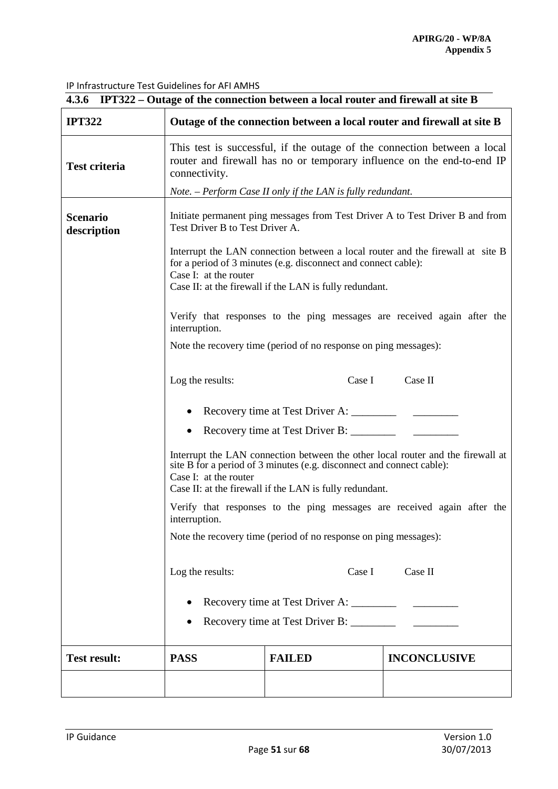|                                | 4.3.6 IPT322 – Outage of the connection between a local router and firewall at site B                                                                                                                                                        |                                                             |                                                                        |  |  |
|--------------------------------|----------------------------------------------------------------------------------------------------------------------------------------------------------------------------------------------------------------------------------------------|-------------------------------------------------------------|------------------------------------------------------------------------|--|--|
| <b>IPT322</b>                  |                                                                                                                                                                                                                                              |                                                             | Outage of the connection between a local router and firewall at site B |  |  |
| <b>Test criteria</b>           | This test is successful, if the outage of the connection between a local<br>router and firewall has no or temporary influence on the end-to-end IP<br>connectivity.                                                                          |                                                             |                                                                        |  |  |
|                                |                                                                                                                                                                                                                                              | Note. - Perform Case II only if the LAN is fully redundant. |                                                                        |  |  |
| <b>Scenario</b><br>description | Initiate permanent ping messages from Test Driver A to Test Driver B and from<br>Test Driver B to Test Driver A.                                                                                                                             |                                                             |                                                                        |  |  |
|                                | Interrupt the LAN connection between a local router and the firewall at site B<br>for a period of 3 minutes (e.g. disconnect and connect cable):<br>Case I: at the router<br>Case II: at the firewall if the LAN is fully redundant.         |                                                             |                                                                        |  |  |
|                                | Verify that responses to the ping messages are received again after the<br>interruption.                                                                                                                                                     |                                                             |                                                                        |  |  |
|                                | Note the recovery time (period of no response on ping messages):                                                                                                                                                                             |                                                             |                                                                        |  |  |
|                                | Log the results:<br>Case I<br>Case II                                                                                                                                                                                                        |                                                             |                                                                        |  |  |
|                                |                                                                                                                                                                                                                                              | Recovery time at Test Driver A: _________                   |                                                                        |  |  |
|                                | $\bullet$                                                                                                                                                                                                                                    | Recovery time at Test Driver B: _________                   |                                                                        |  |  |
|                                | Interrupt the LAN connection between the other local router and the firewall at<br>site B for a period of 3 minutes (e.g. disconnect and connect cable):<br>Case I: at the router<br>Case II: at the firewall if the LAN is fully redundant. |                                                             |                                                                        |  |  |
|                                | Verify that responses to the ping messages are received again after the<br>interruption.                                                                                                                                                     |                                                             |                                                                        |  |  |
|                                | Note the recovery time (period of no response on ping messages):                                                                                                                                                                             |                                                             |                                                                        |  |  |
|                                | Log the results:<br>Case II<br>Case I                                                                                                                                                                                                        |                                                             |                                                                        |  |  |
|                                |                                                                                                                                                                                                                                              |                                                             |                                                                        |  |  |
|                                |                                                                                                                                                                                                                                              |                                                             |                                                                        |  |  |
| <b>Test result:</b>            | <b>PASS</b>                                                                                                                                                                                                                                  | <b>FAILED</b>                                               | <b>INCONCLUSIVE</b>                                                    |  |  |
|                                |                                                                                                                                                                                                                                              |                                                             |                                                                        |  |  |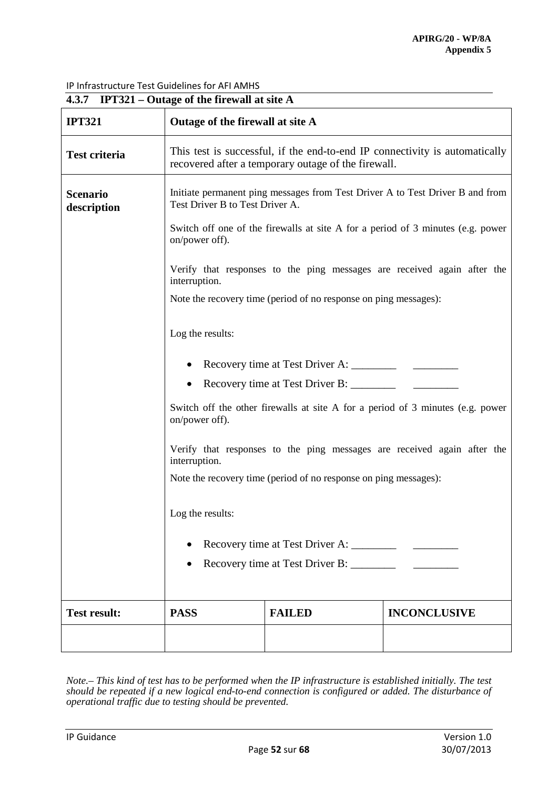| 4.3.7 IPT321 – Outage of the firewall at site A |                                                                                                                                    |                                                                  |                                                                         |  |  |
|-------------------------------------------------|------------------------------------------------------------------------------------------------------------------------------------|------------------------------------------------------------------|-------------------------------------------------------------------------|--|--|
| <b>IPT321</b>                                   | Outage of the firewall at site A                                                                                                   |                                                                  |                                                                         |  |  |
| <b>Test criteria</b>                            | This test is successful, if the end-to-end IP connectivity is automatically<br>recovered after a temporary outage of the firewall. |                                                                  |                                                                         |  |  |
| <b>Scenario</b><br>description                  | Initiate permanent ping messages from Test Driver A to Test Driver B and from<br>Test Driver B to Test Driver A.                   |                                                                  |                                                                         |  |  |
|                                                 | Switch off one of the firewalls at site A for a period of 3 minutes (e.g. power<br>on/power off).                                  |                                                                  |                                                                         |  |  |
|                                                 | interruption.                                                                                                                      |                                                                  | Verify that responses to the ping messages are received again after the |  |  |
|                                                 |                                                                                                                                    | Note the recovery time (period of no response on ping messages): |                                                                         |  |  |
|                                                 | Log the results:                                                                                                                   |                                                                  |                                                                         |  |  |
|                                                 |                                                                                                                                    |                                                                  |                                                                         |  |  |
|                                                 | Recovery time at Test Driver B: __________                                                                                         |                                                                  |                                                                         |  |  |
|                                                 | Switch off the other firewalls at site A for a period of 3 minutes (e.g. power<br>on/power off).                                   |                                                                  |                                                                         |  |  |
|                                                 | Verify that responses to the ping messages are received again after the<br>interruption.                                           |                                                                  |                                                                         |  |  |
|                                                 | Note the recovery time (period of no response on ping messages):                                                                   |                                                                  |                                                                         |  |  |
|                                                 | Log the results:                                                                                                                   |                                                                  |                                                                         |  |  |
|                                                 |                                                                                                                                    |                                                                  |                                                                         |  |  |
|                                                 |                                                                                                                                    |                                                                  |                                                                         |  |  |
|                                                 |                                                                                                                                    |                                                                  |                                                                         |  |  |
| <b>Test result:</b>                             | <b>PASS</b>                                                                                                                        | <b>FAILED</b>                                                    | <b>INCONCLUSIVE</b>                                                     |  |  |
|                                                 |                                                                                                                                    |                                                                  |                                                                         |  |  |

*Note.– This kind of test has to be performed when the IP infrastructure is established initially. The test should be repeated if a new logical end-to-end connection is configured or added. The disturbance of operational traffic due to testing should be prevented.*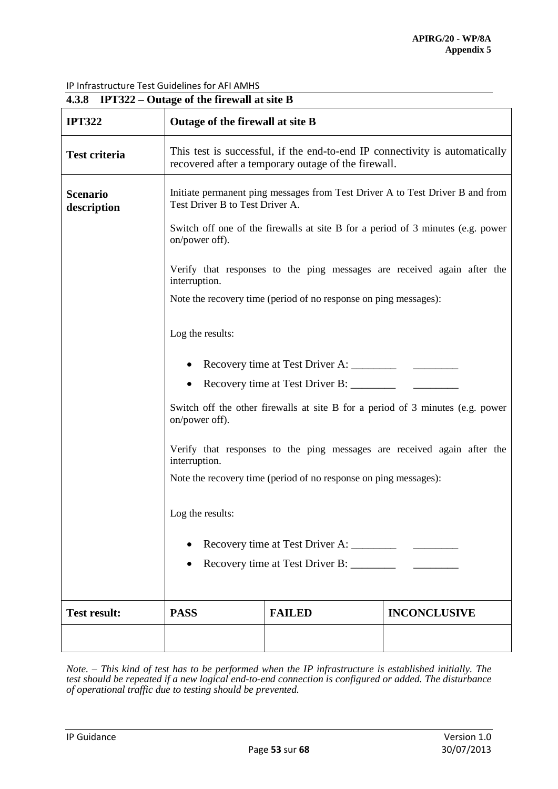|                                | 4.3.8 IPT322 – Outage of the firewall at site B                                                                                    |                                                                  |                                                                         |  |  |
|--------------------------------|------------------------------------------------------------------------------------------------------------------------------------|------------------------------------------------------------------|-------------------------------------------------------------------------|--|--|
| <b>IPT322</b>                  | Outage of the firewall at site B                                                                                                   |                                                                  |                                                                         |  |  |
| <b>Test criteria</b>           | This test is successful, if the end-to-end IP connectivity is automatically<br>recovered after a temporary outage of the firewall. |                                                                  |                                                                         |  |  |
| <b>Scenario</b><br>description | Initiate permanent ping messages from Test Driver A to Test Driver B and from<br>Test Driver B to Test Driver A.                   |                                                                  |                                                                         |  |  |
|                                | Switch off one of the firewalls at site B for a period of 3 minutes (e.g. power<br>on/power off).                                  |                                                                  |                                                                         |  |  |
|                                | interruption.                                                                                                                      |                                                                  | Verify that responses to the ping messages are received again after the |  |  |
|                                |                                                                                                                                    | Note the recovery time (period of no response on ping messages): |                                                                         |  |  |
|                                | Log the results:                                                                                                                   |                                                                  |                                                                         |  |  |
|                                |                                                                                                                                    |                                                                  |                                                                         |  |  |
|                                |                                                                                                                                    |                                                                  |                                                                         |  |  |
|                                | Switch off the other firewalls at site B for a period of 3 minutes (e.g. power<br>on/power off).                                   |                                                                  |                                                                         |  |  |
|                                | Verify that responses to the ping messages are received again after the<br>interruption.                                           |                                                                  |                                                                         |  |  |
|                                | Note the recovery time (period of no response on ping messages):                                                                   |                                                                  |                                                                         |  |  |
|                                | Log the results:                                                                                                                   |                                                                  |                                                                         |  |  |
|                                |                                                                                                                                    |                                                                  |                                                                         |  |  |
|                                |                                                                                                                                    |                                                                  |                                                                         |  |  |
| <b>Test result:</b>            | <b>PASS</b>                                                                                                                        | <b>FAILED</b>                                                    | <b>INCONCLUSIVE</b>                                                     |  |  |
|                                |                                                                                                                                    |                                                                  |                                                                         |  |  |

*Note. – This kind of test has to be performed when the IP infrastructure is established initially. The test should be repeated if a new logical end-to-end connection is configured or added. The disturbance of operational traffic due to testing should be prevented.*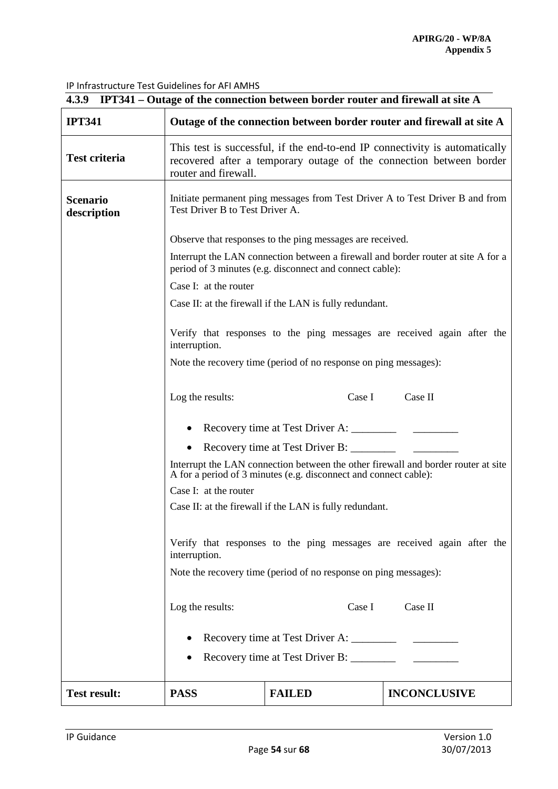|                                | 4.3.9 IPT341 – Outage of the connection between border router and firewall at site A                                                                                       |                                                                  |                                                                                   |  |  |
|--------------------------------|----------------------------------------------------------------------------------------------------------------------------------------------------------------------------|------------------------------------------------------------------|-----------------------------------------------------------------------------------|--|--|
| <b>IPT341</b>                  | Outage of the connection between border router and firewall at site A                                                                                                      |                                                                  |                                                                                   |  |  |
| <b>Test criteria</b>           | This test is successful, if the end-to-end IP connectivity is automatically<br>recovered after a temporary outage of the connection between border<br>router and firewall. |                                                                  |                                                                                   |  |  |
| <b>Scenario</b><br>description | Initiate permanent ping messages from Test Driver A to Test Driver B and from<br>Test Driver B to Test Driver A.                                                           |                                                                  |                                                                                   |  |  |
|                                | Observe that responses to the ping messages are received.                                                                                                                  |                                                                  |                                                                                   |  |  |
|                                |                                                                                                                                                                            | period of 3 minutes (e.g. disconnect and connect cable):         | Interrupt the LAN connection between a firewall and border router at site A for a |  |  |
|                                | Case I: at the router                                                                                                                                                      |                                                                  |                                                                                   |  |  |
|                                |                                                                                                                                                                            | Case II: at the firewall if the LAN is fully redundant.          |                                                                                   |  |  |
|                                | Verify that responses to the ping messages are received again after the<br>interruption.                                                                                   |                                                                  |                                                                                   |  |  |
|                                | Note the recovery time (period of no response on ping messages):                                                                                                           |                                                                  |                                                                                   |  |  |
|                                | Case II<br>Log the results:<br>Case I                                                                                                                                      |                                                                  |                                                                                   |  |  |
|                                |                                                                                                                                                                            |                                                                  |                                                                                   |  |  |
|                                |                                                                                                                                                                            | Recovery time at Test Driver B: ________                         |                                                                                   |  |  |
|                                |                                                                                                                                                                            | A for a period of 3 minutes (e.g. disconnect and connect cable): | Interrupt the LAN connection between the other firewall and border router at site |  |  |
|                                | Case I: at the router                                                                                                                                                      |                                                                  |                                                                                   |  |  |
|                                | Case II: at the firewall if the LAN is fully redundant.                                                                                                                    |                                                                  |                                                                                   |  |  |
|                                | Verify that responses to the ping messages are received again after the<br>interruption.                                                                                   |                                                                  |                                                                                   |  |  |
|                                |                                                                                                                                                                            | Note the recovery time (period of no response on ping messages): |                                                                                   |  |  |
|                                |                                                                                                                                                                            |                                                                  |                                                                                   |  |  |
|                                | Log the results:                                                                                                                                                           |                                                                  | Case I Case II                                                                    |  |  |
|                                |                                                                                                                                                                            |                                                                  |                                                                                   |  |  |
|                                |                                                                                                                                                                            | Recovery time at Test Driver B: _________                        |                                                                                   |  |  |
|                                |                                                                                                                                                                            |                                                                  |                                                                                   |  |  |
| <b>Test result:</b>            | <b>PASS</b>                                                                                                                                                                | <b>FAILED</b>                                                    | <b>INCONCLUSIVE</b>                                                               |  |  |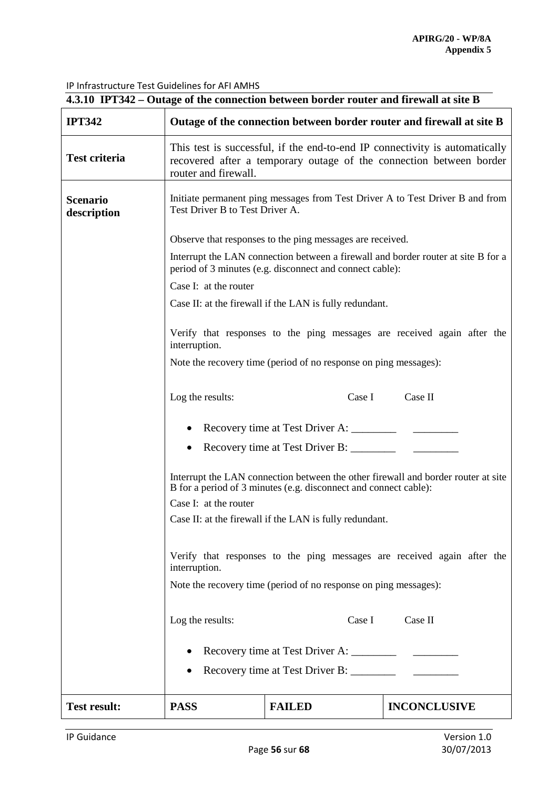| 4.3.10 IPT342 – Outage of the connection between border router and firewall at site B |                                                                                                                                                                            |                                                                  |                                                                         |  |  |
|---------------------------------------------------------------------------------------|----------------------------------------------------------------------------------------------------------------------------------------------------------------------------|------------------------------------------------------------------|-------------------------------------------------------------------------|--|--|
| <b>IPT342</b>                                                                         |                                                                                                                                                                            |                                                                  | Outage of the connection between border router and firewall at site B   |  |  |
| <b>Test criteria</b>                                                                  | This test is successful, if the end-to-end IP connectivity is automatically<br>recovered after a temporary outage of the connection between border<br>router and firewall. |                                                                  |                                                                         |  |  |
| <b>Scenario</b><br>description                                                        | Initiate permanent ping messages from Test Driver A to Test Driver B and from<br>Test Driver B to Test Driver A.                                                           |                                                                  |                                                                         |  |  |
|                                                                                       | Observe that responses to the ping messages are received.                                                                                                                  |                                                                  |                                                                         |  |  |
|                                                                                       | Interrupt the LAN connection between a firewall and border router at site B for a<br>period of 3 minutes (e.g. disconnect and connect cable):                              |                                                                  |                                                                         |  |  |
|                                                                                       | Case I: at the router                                                                                                                                                      |                                                                  |                                                                         |  |  |
|                                                                                       |                                                                                                                                                                            | Case II: at the firewall if the LAN is fully redundant.          |                                                                         |  |  |
|                                                                                       | interruption.                                                                                                                                                              |                                                                  | Verify that responses to the ping messages are received again after the |  |  |
|                                                                                       |                                                                                                                                                                            | Note the recovery time (period of no response on ping messages): |                                                                         |  |  |
|                                                                                       | Case I<br>Case II<br>Log the results:                                                                                                                                      |                                                                  |                                                                         |  |  |
|                                                                                       | Recovery time at Test Driver A: ___________                                                                                                                                |                                                                  |                                                                         |  |  |
|                                                                                       | Recovery time at Test Driver B: _________                                                                                                                                  |                                                                  |                                                                         |  |  |
|                                                                                       | Interrupt the LAN connection between the other firewall and border router at site<br>B for a period of 3 minutes (e.g. disconnect and connect cable):                      |                                                                  |                                                                         |  |  |
|                                                                                       | Case I: at the router                                                                                                                                                      |                                                                  |                                                                         |  |  |
|                                                                                       |                                                                                                                                                                            | Case II: at the firewall if the LAN is fully redundant.          |                                                                         |  |  |
|                                                                                       | interruption.                                                                                                                                                              |                                                                  | Verify that responses to the ping messages are received again after the |  |  |
|                                                                                       |                                                                                                                                                                            | Note the recovery time (period of no response on ping messages): |                                                                         |  |  |
|                                                                                       | Log the results:                                                                                                                                                           | Case I                                                           | Case II                                                                 |  |  |
|                                                                                       |                                                                                                                                                                            |                                                                  |                                                                         |  |  |
|                                                                                       |                                                                                                                                                                            | Recovery time at Test Driver B: _________                        |                                                                         |  |  |
| <b>Test result:</b>                                                                   | <b>PASS</b>                                                                                                                                                                | <b>FAILED</b>                                                    | <b>INCONCLUSIVE</b>                                                     |  |  |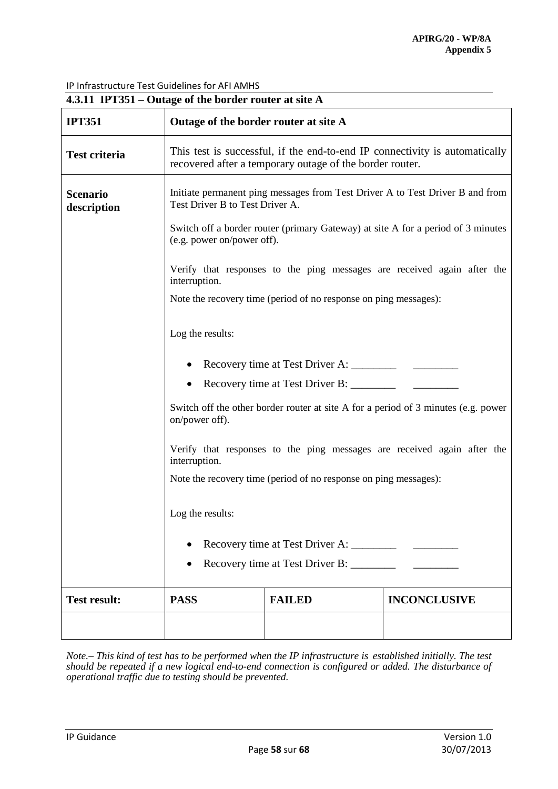| 4.3.11 IPT351 – Outage of the border router at site A |                                                                                                                                         |                                                                  |                                                                         |  |  |
|-------------------------------------------------------|-----------------------------------------------------------------------------------------------------------------------------------------|------------------------------------------------------------------|-------------------------------------------------------------------------|--|--|
| <b>IPT351</b>                                         | Outage of the border router at site A                                                                                                   |                                                                  |                                                                         |  |  |
| <b>Test criteria</b>                                  | This test is successful, if the end-to-end IP connectivity is automatically<br>recovered after a temporary outage of the border router. |                                                                  |                                                                         |  |  |
| <b>Scenario</b><br>description                        | Initiate permanent ping messages from Test Driver A to Test Driver B and from<br>Test Driver B to Test Driver A.                        |                                                                  |                                                                         |  |  |
|                                                       | Switch off a border router (primary Gateway) at site A for a period of 3 minutes<br>(e.g. power on/power off).                          |                                                                  |                                                                         |  |  |
|                                                       | interruption.                                                                                                                           |                                                                  | Verify that responses to the ping messages are received again after the |  |  |
|                                                       |                                                                                                                                         | Note the recovery time (period of no response on ping messages): |                                                                         |  |  |
|                                                       | Log the results:                                                                                                                        |                                                                  |                                                                         |  |  |
|                                                       |                                                                                                                                         |                                                                  |                                                                         |  |  |
|                                                       |                                                                                                                                         |                                                                  |                                                                         |  |  |
|                                                       | Switch off the other border router at site A for a period of 3 minutes (e.g. power<br>on/power off).                                    |                                                                  |                                                                         |  |  |
|                                                       | Verify that responses to the ping messages are received again after the<br>interruption.                                                |                                                                  |                                                                         |  |  |
|                                                       | Note the recovery time (period of no response on ping messages):                                                                        |                                                                  |                                                                         |  |  |
|                                                       | Log the results:                                                                                                                        |                                                                  |                                                                         |  |  |
|                                                       |                                                                                                                                         |                                                                  |                                                                         |  |  |
|                                                       |                                                                                                                                         | Recovery time at Test Driver B: ________                         |                                                                         |  |  |
| <b>Test result:</b>                                   | <b>PASS</b>                                                                                                                             | <b>FAILED</b>                                                    | <b>INCONCLUSIVE</b>                                                     |  |  |
|                                                       |                                                                                                                                         |                                                                  |                                                                         |  |  |

*Note.– This kind of test has to be performed when the IP infrastructure is established initially. The test should be repeated if a new logical end-to-end connection is configured or added. The disturbance of operational traffic due to testing should be prevented.*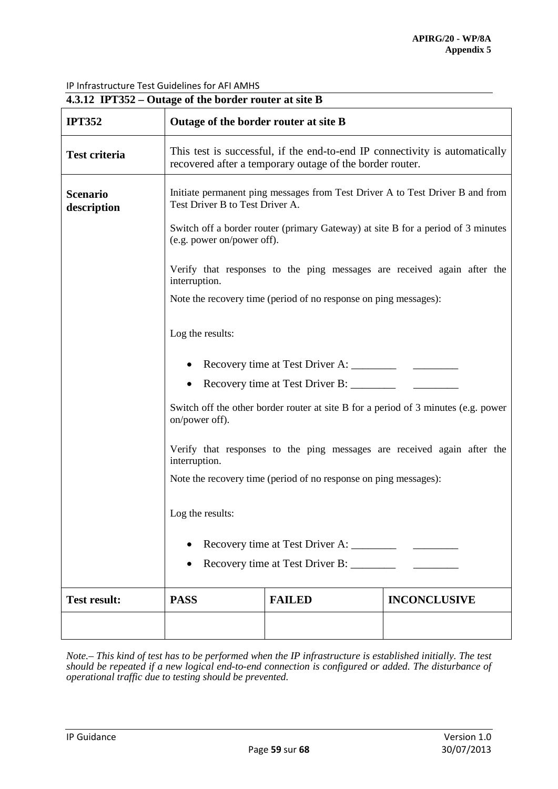| 4.3.12 IPT352 – Outage of the border router at site B |                                                                                                                                                                                                                                                                                          |                                                                                                                                         |                     |  |
|-------------------------------------------------------|------------------------------------------------------------------------------------------------------------------------------------------------------------------------------------------------------------------------------------------------------------------------------------------|-----------------------------------------------------------------------------------------------------------------------------------------|---------------------|--|
| <b>IPT352</b>                                         | Outage of the border router at site B                                                                                                                                                                                                                                                    |                                                                                                                                         |                     |  |
| <b>Test criteria</b>                                  |                                                                                                                                                                                                                                                                                          | This test is successful, if the end-to-end IP connectivity is automatically<br>recovered after a temporary outage of the border router. |                     |  |
| <b>Scenario</b><br>description                        | Test Driver B to Test Driver A.                                                                                                                                                                                                                                                          | Initiate permanent ping messages from Test Driver A to Test Driver B and from                                                           |                     |  |
|                                                       | Switch off a border router (primary Gateway) at site B for a period of 3 minutes<br>(e.g. power on/power off).                                                                                                                                                                           |                                                                                                                                         |                     |  |
|                                                       | Verify that responses to the ping messages are received again after the<br>interruption.                                                                                                                                                                                                 |                                                                                                                                         |                     |  |
|                                                       | Note the recovery time (period of no response on ping messages):                                                                                                                                                                                                                         |                                                                                                                                         |                     |  |
|                                                       | Log the results:                                                                                                                                                                                                                                                                         |                                                                                                                                         |                     |  |
|                                                       |                                                                                                                                                                                                                                                                                          |                                                                                                                                         |                     |  |
|                                                       |                                                                                                                                                                                                                                                                                          |                                                                                                                                         |                     |  |
|                                                       | Switch off the other border router at site B for a period of 3 minutes (e.g. power<br>on/power off).<br>Verify that responses to the ping messages are received again after the<br>interruption.<br>Note the recovery time (period of no response on ping messages):<br>Log the results: |                                                                                                                                         |                     |  |
|                                                       |                                                                                                                                                                                                                                                                                          |                                                                                                                                         |                     |  |
|                                                       |                                                                                                                                                                                                                                                                                          |                                                                                                                                         |                     |  |
|                                                       |                                                                                                                                                                                                                                                                                          |                                                                                                                                         |                     |  |
|                                                       |                                                                                                                                                                                                                                                                                          |                                                                                                                                         |                     |  |
|                                                       | Recovery time at Test Driver B: ________                                                                                                                                                                                                                                                 |                                                                                                                                         |                     |  |
| <b>Test result:</b>                                   | <b>PASS</b>                                                                                                                                                                                                                                                                              | <b>FAILED</b>                                                                                                                           | <b>INCONCLUSIVE</b> |  |
|                                                       |                                                                                                                                                                                                                                                                                          |                                                                                                                                         |                     |  |

*Note.– This kind of test has to be performed when the IP infrastructure is established initially. The test should be repeated if a new logical end-to-end connection is configured or added. The disturbance of operational traffic due to testing should be prevented.*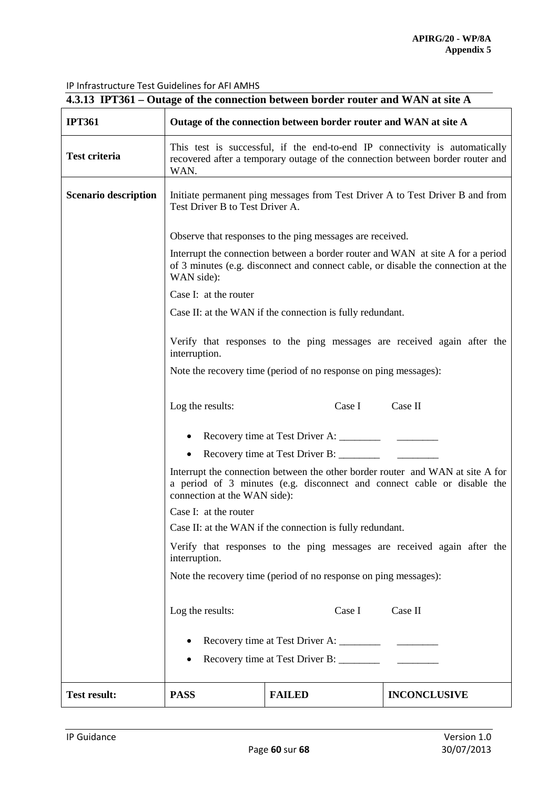| 4.3.13 IPT361 – Outage of the connection between border router and WAN at site A |                                                                                                                                                                                           |               |                     |  |  |
|----------------------------------------------------------------------------------|-------------------------------------------------------------------------------------------------------------------------------------------------------------------------------------------|---------------|---------------------|--|--|
| <b>IPT361</b>                                                                    | Outage of the connection between border router and WAN at site A                                                                                                                          |               |                     |  |  |
| <b>Test criteria</b>                                                             | This test is successful, if the end-to-end IP connectivity is automatically<br>recovered after a temporary outage of the connection between border router and<br>WAN.                     |               |                     |  |  |
| <b>Scenario description</b>                                                      | Initiate permanent ping messages from Test Driver A to Test Driver B and from<br>Test Driver B to Test Driver A.                                                                          |               |                     |  |  |
|                                                                                  | Observe that responses to the ping messages are received.                                                                                                                                 |               |                     |  |  |
|                                                                                  | Interrupt the connection between a border router and WAN at site A for a period<br>of 3 minutes (e.g. disconnect and connect cable, or disable the connection at the<br>WAN side):        |               |                     |  |  |
|                                                                                  | Case I: at the router                                                                                                                                                                     |               |                     |  |  |
|                                                                                  | Case II: at the WAN if the connection is fully redundant.                                                                                                                                 |               |                     |  |  |
|                                                                                  | Verify that responses to the ping messages are received again after the<br>interruption.                                                                                                  |               |                     |  |  |
|                                                                                  | Note the recovery time (period of no response on ping messages):                                                                                                                          |               |                     |  |  |
|                                                                                  | Case I<br>Case II<br>Log the results:                                                                                                                                                     |               |                     |  |  |
|                                                                                  | Recovery time at Test Driver A: _______                                                                                                                                                   |               |                     |  |  |
|                                                                                  | Recovery time at Test Driver B: _______                                                                                                                                                   |               |                     |  |  |
|                                                                                  | Interrupt the connection between the other border router and WAN at site A for<br>a period of 3 minutes (e.g. disconnect and connect cable or disable the<br>connection at the WAN side): |               |                     |  |  |
|                                                                                  | Case I: at the router                                                                                                                                                                     |               |                     |  |  |
|                                                                                  | Case II: at the WAN if the connection is fully redundant.                                                                                                                                 |               |                     |  |  |
|                                                                                  | Verify that responses to the ping messages are received again after the<br>interruption.                                                                                                  |               |                     |  |  |
|                                                                                  | Note the recovery time (period of no response on ping messages):                                                                                                                          |               |                     |  |  |
|                                                                                  | Log the results:                                                                                                                                                                          | Case I        | Case II             |  |  |
|                                                                                  |                                                                                                                                                                                           |               |                     |  |  |
|                                                                                  |                                                                                                                                                                                           |               |                     |  |  |
|                                                                                  | Recovery time at Test Driver B: ________                                                                                                                                                  |               |                     |  |  |
| <b>Test result:</b>                                                              | <b>PASS</b>                                                                                                                                                                               | <b>FAILED</b> | <b>INCONCLUSIVE</b> |  |  |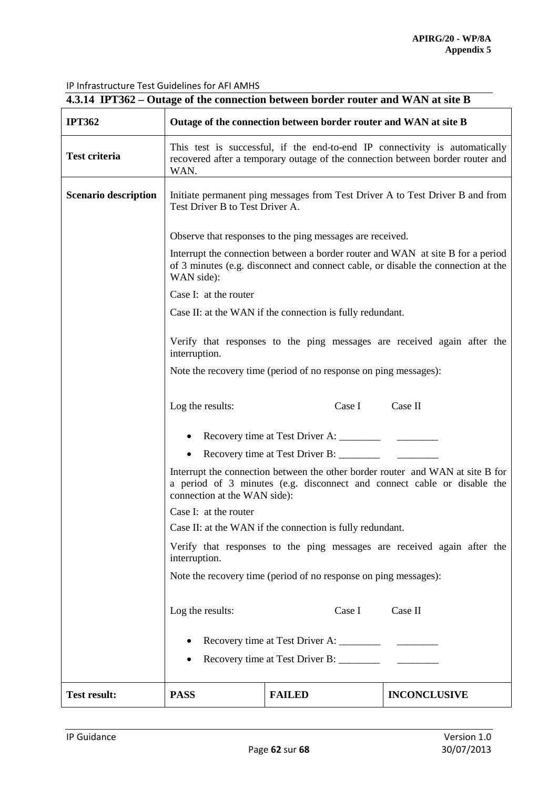| 4.3.14 IPT362 – Outage of the connection between border router and WAN at site B |                                                                                                                                                                                           |               |                     |  |  |
|----------------------------------------------------------------------------------|-------------------------------------------------------------------------------------------------------------------------------------------------------------------------------------------|---------------|---------------------|--|--|
| <b>IPT362</b>                                                                    | Outage of the connection between border router and WAN at site B                                                                                                                          |               |                     |  |  |
| <b>Test criteria</b>                                                             | This test is successful, if the end-to-end IP connectivity is automatically<br>recovered after a temporary outage of the connection between border router and<br>WAN.                     |               |                     |  |  |
| <b>Scenario description</b>                                                      | Initiate permanent ping messages from Test Driver A to Test Driver B and from<br>Test Driver B to Test Driver A.                                                                          |               |                     |  |  |
|                                                                                  | Observe that responses to the ping messages are received.                                                                                                                                 |               |                     |  |  |
|                                                                                  | Interrupt the connection between a border router and WAN at site B for a period<br>of 3 minutes (e.g. disconnect and connect cable, or disable the connection at the<br>WAN side):        |               |                     |  |  |
|                                                                                  | Case I: at the router                                                                                                                                                                     |               |                     |  |  |
|                                                                                  | Case II: at the WAN if the connection is fully redundant.                                                                                                                                 |               |                     |  |  |
|                                                                                  | Verify that responses to the ping messages are received again after the<br>interruption.                                                                                                  |               |                     |  |  |
|                                                                                  | Note the recovery time (period of no response on ping messages):                                                                                                                          |               |                     |  |  |
|                                                                                  | Case I<br>Case II<br>Log the results:                                                                                                                                                     |               |                     |  |  |
|                                                                                  | Recovery time at Test Driver A: ________                                                                                                                                                  |               |                     |  |  |
|                                                                                  | Recovery time at Test Driver B: _______                                                                                                                                                   |               |                     |  |  |
|                                                                                  | Interrupt the connection between the other border router and WAN at site B for<br>a period of 3 minutes (e.g. disconnect and connect cable or disable the<br>connection at the WAN side): |               |                     |  |  |
|                                                                                  | Case I: at the router                                                                                                                                                                     |               |                     |  |  |
|                                                                                  | Case II: at the WAN if the connection is fully redundant.                                                                                                                                 |               |                     |  |  |
|                                                                                  | Verify that responses to the ping messages are received again after the<br>interruption.                                                                                                  |               |                     |  |  |
|                                                                                  | Note the recovery time (period of no response on ping messages):                                                                                                                          |               |                     |  |  |
|                                                                                  | Log the results:                                                                                                                                                                          | Case I        | Case II             |  |  |
|                                                                                  |                                                                                                                                                                                           |               |                     |  |  |
|                                                                                  | Recovery time at Test Driver B: ________                                                                                                                                                  |               |                     |  |  |
|                                                                                  |                                                                                                                                                                                           |               |                     |  |  |
| <b>Test result:</b>                                                              | <b>PASS</b>                                                                                                                                                                               | <b>FAILED</b> | <b>INCONCLUSIVE</b> |  |  |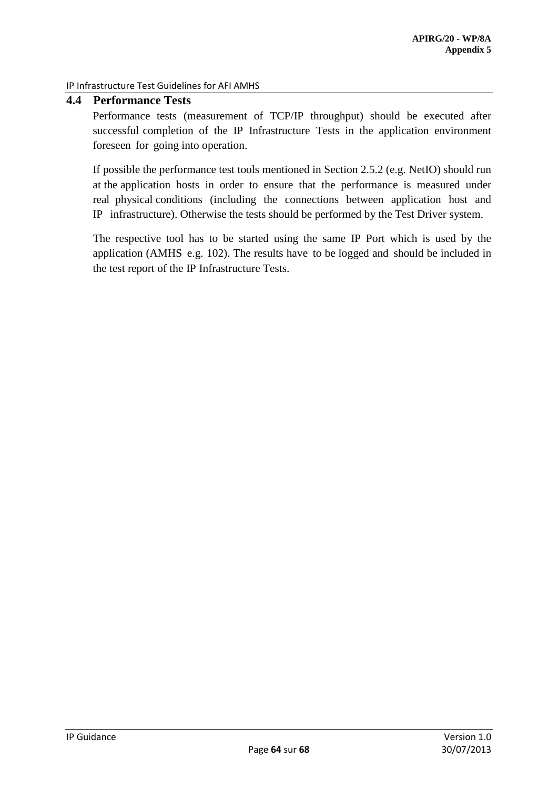# <span id="page-63-0"></span>**4.4 Performance Tests**

Performance tests (measurement of TCP/IP throughput) should be executed after successful completion of the IP Infrastructure Tests in the application environment foreseen for going into operation.

If possible the performance test tools mentioned in Section 2.5.2 (e.g. NetIO) should run at the application hosts in order to ensure that the performance is measured under real physical conditions (including the connections between application host and IP infrastructure). Otherwise the tests should be performed by the Test Driver system.

The respective tool has to be started using the same IP Port which is used by the application (AMHS e.g. 102). The results have to be logged and should be included in the test report of the IP Infrastructure Tests.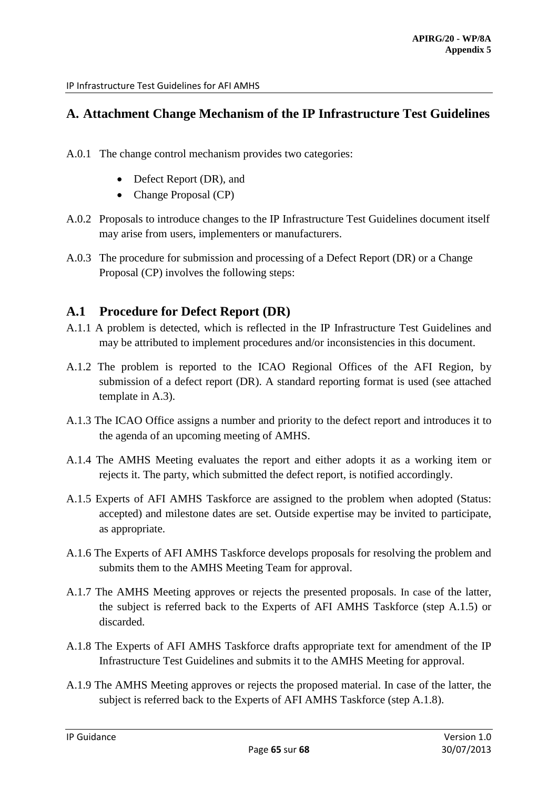# <span id="page-64-0"></span>**A. Attachment Change Mechanism of the IP Infrastructure Test Guidelines**

- A.0.1 The change control mechanism provides two categories:
	- Defect Report (DR), and
	- Change Proposal (CP)
- A.0.2 Proposals to introduce changes to the IP Infrastructure Test Guidelines document itself may arise from users, implementers or manufacturers.
- A.0.3 The procedure for submission and processing of a Defect Report (DR) or a Change Proposal (CP) involves the following steps:

# <span id="page-64-1"></span>**A.1 Procedure for Defect Report (DR)**

- A.1.1 A problem is detected, which is reflected in the IP Infrastructure Test Guidelines and may be attributed to implement procedures and/or inconsistencies in this document.
- A.1.2 The problem is reported to the ICAO Regional Offices of the AFI Region, by submission of a defect report (DR). A standard reporting format is used (see attached template in A.3).
- A.1.3 The ICAO Office assigns a number and priority to the defect report and introduces it to the agenda of an upcoming meeting of AMHS.
- A.1.4 The AMHS Meeting evaluates the report and either adopts it as a working item or rejects it. The party, which submitted the defect report, is notified accordingly.
- A.1.5 Experts of AFI AMHS Taskforce are assigned to the problem when adopted (Status: accepted) and milestone dates are set. Outside expertise may be invited to participate, as appropriate.
- A.1.6 The Experts of AFI AMHS Taskforce develops proposals for resolving the problem and submits them to the AMHS Meeting Team for approval.
- A.1.7 The AMHS Meeting approves or rejects the presented proposals. In case of the latter, the subject is referred back to the Experts of AFI AMHS Taskforce (step A.1.5) or discarded.
- A.1.8 The Experts of AFI AMHS Taskforce drafts appropriate text for amendment of the IP Infrastructure Test Guidelines and submits it to the AMHS Meeting for approval.
- A.1.9 The AMHS Meeting approves or rejects the proposed material. In case of the latter, the subject is referred back to the Experts of AFI AMHS Taskforce (step A.1.8).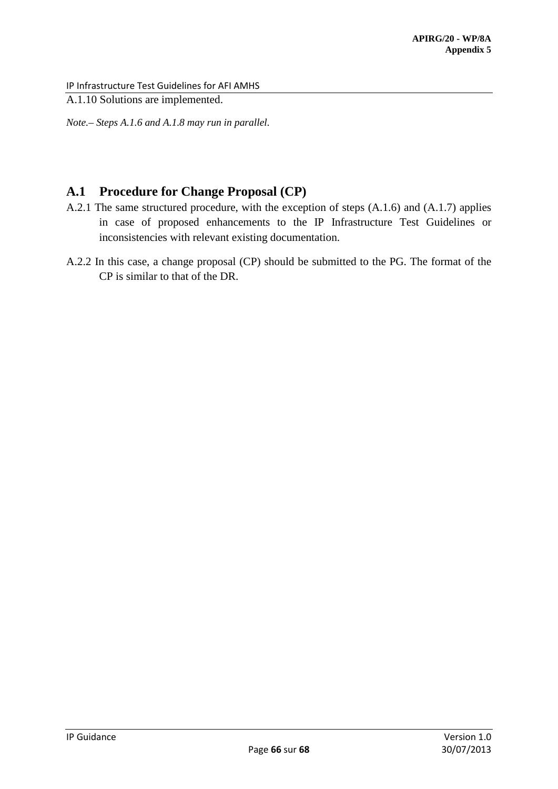A.1.10 Solutions are implemented.

*Note.– Steps A.1.6 and A.1.8 may run in parallel.* 

# <span id="page-65-0"></span>**A.1 Procedure for Change Proposal (CP)**

- A.2.1 The same structured procedure, with the exception of steps (A.1.6) and (A.1.7) applies in case of proposed enhancements to the IP Infrastructure Test Guidelines or inconsistencies with relevant existing documentation.
- A.2.2 In this case, a change proposal (CP) should be submitted to the PG. The format of the CP is similar to that of the DR.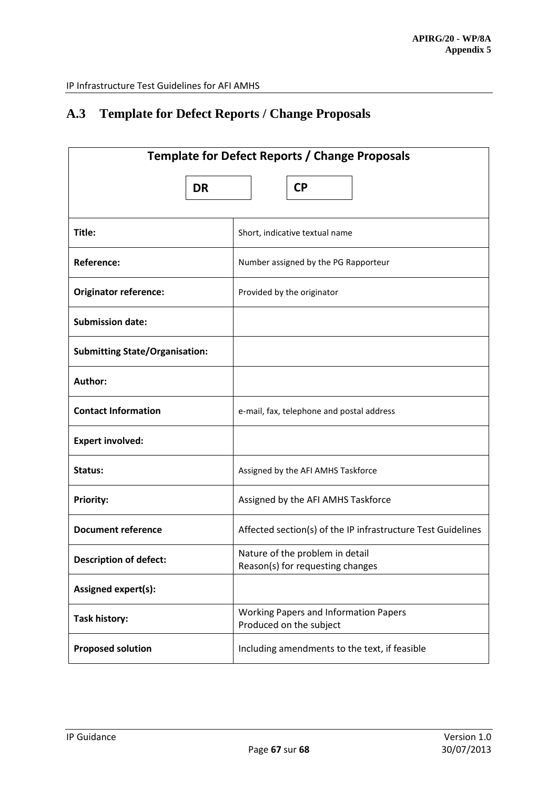# <span id="page-66-0"></span>**A.3 Template for Defect Reports / Change Proposals**

| <b>Template for Defect Reports / Change Proposals</b> |                                                                         |  |  |
|-------------------------------------------------------|-------------------------------------------------------------------------|--|--|
| <b>DR</b>                                             | <b>CP</b>                                                               |  |  |
| Title:                                                | Short, indicative textual name                                          |  |  |
| <b>Reference:</b>                                     | Number assigned by the PG Rapporteur                                    |  |  |
| <b>Originator reference:</b>                          | Provided by the originator                                              |  |  |
| <b>Submission date:</b>                               |                                                                         |  |  |
| <b>Submitting State/Organisation:</b>                 |                                                                         |  |  |
| Author:                                               |                                                                         |  |  |
| <b>Contact Information</b>                            | e-mail, fax, telephone and postal address                               |  |  |
| <b>Expert involved:</b>                               |                                                                         |  |  |
| Status:                                               | Assigned by the AFI AMHS Taskforce                                      |  |  |
| <b>Priority:</b>                                      | Assigned by the AFI AMHS Taskforce                                      |  |  |
| <b>Document reference</b>                             | Affected section(s) of the IP infrastructure Test Guidelines            |  |  |
| <b>Description of defect:</b>                         | Nature of the problem in detail<br>Reason(s) for requesting changes     |  |  |
| Assigned expert(s):                                   |                                                                         |  |  |
| <b>Task history:</b>                                  | <b>Working Papers and Information Papers</b><br>Produced on the subject |  |  |
| <b>Proposed solution</b>                              | Including amendments to the text, if feasible                           |  |  |